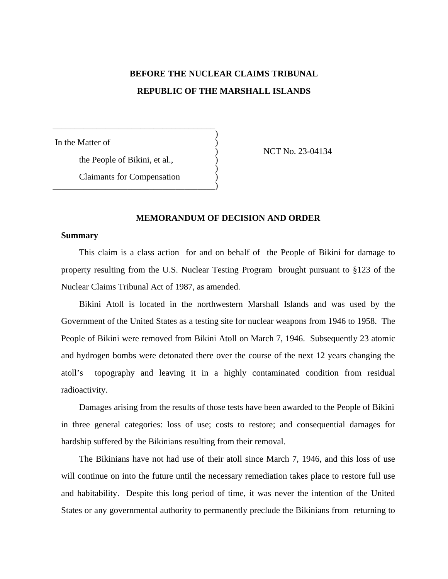# **BEFORE THE NUCLEAR CLAIMS TRIBUNAL REPUBLIC OF THE MARSHALL ISLANDS**

)

)

In the Matter of

) NCT No. 23-04134

the People of Bikini, et al., )

\_\_\_\_\_\_\_\_\_\_\_\_\_\_\_\_\_\_\_\_\_\_\_\_\_\_\_\_\_\_\_\_\_\_\_\_\_

Claimants for Compensation ) \_\_\_\_\_\_\_\_\_\_\_\_\_\_\_\_\_\_\_\_\_\_\_\_\_\_\_\_\_\_\_\_\_\_\_\_\_)

## **MEMORANDUM OF DECISION AND ORDER**

## **Summary**

This claim is a class action for and on behalf of the People of Bikini for damage to property resulting from the U.S. Nuclear Testing Program brought pursuant to §123 of the Nuclear Claims Tribunal Act of 1987, as amended.

Bikini Atoll is located in the northwestern Marshall Islands and was used by the Government of the United States as a testing site for nuclear weapons from 1946 to 1958. The People of Bikini were removed from Bikini Atoll on March 7, 1946. Subsequently 23 atomic and hydrogen bombs were detonated there over the course of the next 12 years changing the atoll's topography and leaving it in a highly contaminated condition from residual radioactivity.

Damages arising from the results of those tests have been awarded to the People of Bikini in three general categories: loss of use; costs to restore; and consequential damages for hardship suffered by the Bikinians resulting from their removal.

The Bikinians have not had use of their atoll since March 7, 1946, and this loss of use will continue on into the future until the necessary remediation takes place to restore full use and habitability. Despite this long period of time, it was never the intention of the United States or any governmental authority to permanently preclude the Bikinians from returning to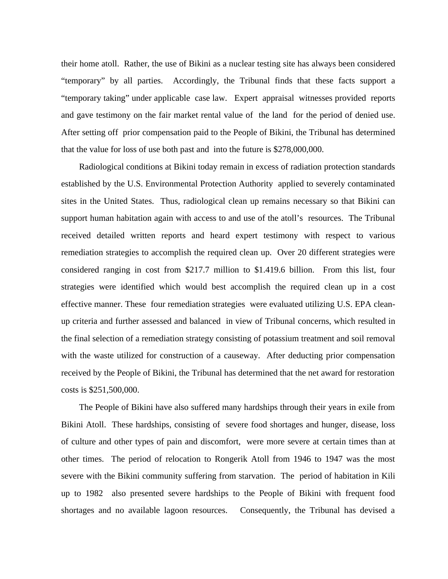their home atoll. Rather, the use of Bikini as a nuclear testing site has always been considered "temporary" by all parties. Accordingly, the Tribunal finds that these facts support a "temporary taking" under applicable case law. Expert appraisal witnesses provided reports and gave testimony on the fair market rental value of the land for the period of denied use. After setting off prior compensation paid to the People of Bikini, the Tribunal has determined that the value for loss of use both past and into the future is \$278,000,000.

Radiological conditions at Bikini today remain in excess of radiation protection standards established by the U.S. Environmental Protection Authority applied to severely contaminated sites in the United States. Thus, radiological clean up remains necessary so that Bikini can support human habitation again with access to and use of the atoll's resources. The Tribunal received detailed written reports and heard expert testimony with respect to various remediation strategies to accomplish the required clean up. Over 20 different strategies were considered ranging in cost from \$217.7 million to \$1.419.6 billion. From this list, four strategies were identified which would best accomplish the required clean up in a cost effective manner. These four remediation strategies were evaluated utilizing U.S. EPA cleanup criteria and further assessed and balanced in view of Tribunal concerns, which resulted in the final selection of a remediation strategy consisting of potassium treatment and soil removal with the waste utilized for construction of a causeway. After deducting prior compensation received by the People of Bikini, the Tribunal has determined that the net award for restoration costs is \$251,500,000.

The People of Bikini have also suffered many hardships through their years in exile from Bikini Atoll. These hardships, consisting of severe food shortages and hunger, disease, loss of culture and other types of pain and discomfort, were more severe at certain times than at other times. The period of relocation to Rongerik Atoll from 1946 to 1947 was the most severe with the Bikini community suffering from starvation. The period of habitation in Kili up to 1982 also presented severe hardships to the People of Bikini with frequent food shortages and no available lagoon resources. Consequently, the Tribunal has devised a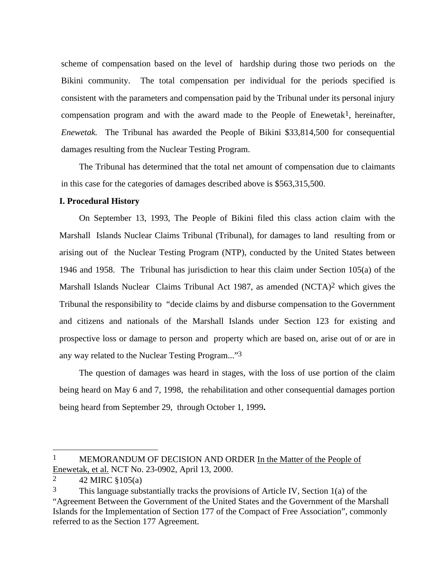scheme of compensation based on the level of hardship during those two periods on the Bikini community. The total compensation per individual for the periods specified is consistent with the parameters and compensation paid by the Tribunal under its personal injury compensation program and with the award made to the People of Enewetak<sup>1</sup>, hereinafter, *Enewetak.* The Tribunal has awarded the People of Bikini \$33,814,500 for consequential damages resulting from the Nuclear Testing Program.

The Tribunal has determined that the total net amount of compensation due to claimants in this case for the categories of damages described above is \$563,315,500.

## **I. Procedural History**

On September 13, 1993, The People of Bikini filed this class action claim with the Marshall Islands Nuclear Claims Tribunal (Tribunal), for damages to land resulting from or arising out of the Nuclear Testing Program (NTP), conducted by the United States between 1946 and 1958. The Tribunal has jurisdiction to hear this claim under Section 105(a) of the Marshall Islands Nuclear Claims Tribunal Act 1987, as amended (NCTA)<sup>2</sup> which gives the Tribunal the responsibility to "decide claims by and disburse compensation to the Government and citizens and nationals of the Marshall Islands under Section 123 for existing and prospective loss or damage to person and property which are based on, arise out of or are in any way related to the Nuclear Testing Program..."3

The question of damages was heard in stages, with the loss of use portion of the claim being heard on May 6 and 7, 1998, the rehabilitation and other consequential damages portion being heard from September 29, through October 1, 1999**.**

l

<sup>1</sup> MEMORANDUM OF DECISION AND ORDER In the Matter of the People of Enewetak, et al. NCT No. 23-0902, April 13, 2000.

<sup>2 42</sup> MIRC  $$105(a)$ 

 $3$  This language substantially tracks the provisions of Article IV, Section 1(a) of the "Agreement Between the Government of the United States and the Government of the Marshall Islands for the Implementation of Section 177 of the Compact of Free Association", commonly referred to as the Section 177 Agreement.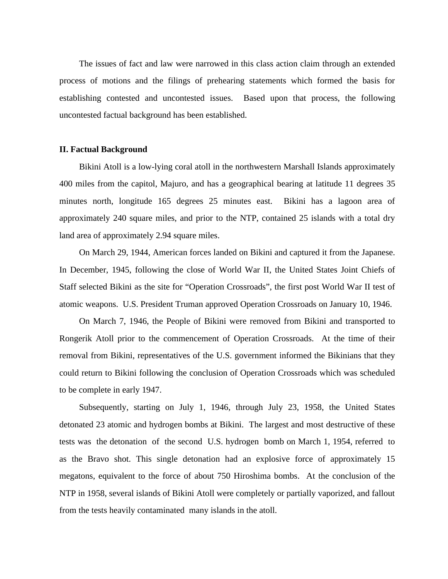The issues of fact and law were narrowed in this class action claim through an extended process of motions and the filings of prehearing statements which formed the basis for establishing contested and uncontested issues. Based upon that process, the following uncontested factual background has been established.

#### **II. Factual Background**

Bikini Atoll is a low-lying coral atoll in the northwestern Marshall Islands approximately 400 miles from the capitol, Majuro, and has a geographical bearing at latitude 11 degrees 35 minutes north, longitude 165 degrees 25 minutes east. Bikini has a lagoon area of approximately 240 square miles, and prior to the NTP, contained 25 islands with a total dry land area of approximately 2.94 square miles.

On March 29, 1944, American forces landed on Bikini and captured it from the Japanese. In December, 1945, following the close of World War II, the United States Joint Chiefs of Staff selected Bikini as the site for "Operation Crossroads", the first post World War II test of atomic weapons. U.S. President Truman approved Operation Crossroads on January 10, 1946.

On March 7, 1946, the People of Bikini were removed from Bikini and transported to Rongerik Atoll prior to the commencement of Operation Crossroads. At the time of their removal from Bikini, representatives of the U.S. government informed the Bikinians that they could return to Bikini following the conclusion of Operation Crossroads which was scheduled to be complete in early 1947.

Subsequently, starting on July 1, 1946, through July 23, 1958, the United States detonated 23 atomic and hydrogen bombs at Bikini. The largest and most destructive of these tests was the detonation of the second U.S. hydrogen bomb on March 1, 1954, referred to as the Bravo shot. This single detonation had an explosive force of approximately 15 megatons, equivalent to the force of about 750 Hiroshima bombs. At the conclusion of the NTP in 1958, several islands of Bikini Atoll were completely or partially vaporized, and fallout from the tests heavily contaminated many islands in the atoll.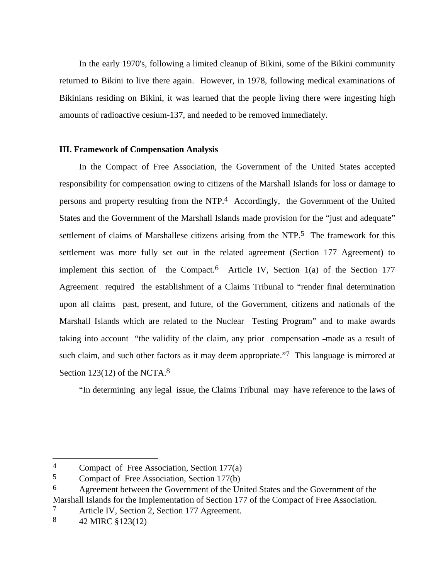In the early 1970's, following a limited cleanup of Bikini, some of the Bikini community returned to Bikini to live there again. However, in 1978, following medical examinations of Bikinians residing on Bikini, it was learned that the people living there were ingesting high amounts of radioactive cesium-137, and needed to be removed immediately.

# **III. Framework of Compensation Analysis**

In the Compact of Free Association, the Government of the United States accepted responsibility for compensation owing to citizens of the Marshall Islands for loss or damage to persons and property resulting from the NTP.4 Accordingly, the Government of the United States and the Government of the Marshall Islands made provision for the "just and adequate" settlement of claims of Marshallese citizens arising from the NTP.<sup>5</sup> The framework for this settlement was more fully set out in the related agreement (Section 177 Agreement) to implement this section of the Compact.<sup>6</sup> Article IV, Section 1(a) of the Section 177 Agreement required the establishment of a Claims Tribunal to "render final determination upon all claims past, present, and future, of the Government, citizens and nationals of the Marshall Islands which are related to the Nuclear Testing Program" and to make awards taking into account "the validity of the claim, any prior compensation made as a result of such claim, and such other factors as it may deem appropriate."7 This language is mirrored at Section 123(12) of the NCTA.<sup>8</sup>

"In determining any legal issue, the Claims Tribunal may have reference to the laws of

<sup>4</sup> Compact of Free Association, Section 177(a)

<sup>5</sup> Compact of Free Association, Section 177(b)

<sup>6</sup> Agreement between the Government of the United States and the Government of the Marshall Islands for the Implementation of Section 177 of the Compact of Free Association.

<sup>7</sup> Article IV, Section 2, Section 177 Agreement.

<sup>8</sup> 42 MIRC §123(12)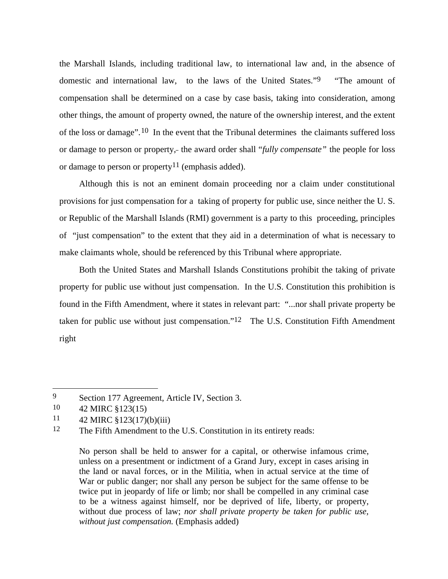the Marshall Islands, including traditional law, to international law and, in the absence of domestic and international law, to the laws of the United States."9 "The amount of compensation shall be determined on a case by case basis, taking into consideration, among other things, the amount of property owned, the nature of the ownership interest, and the extent of the loss or damage".10 In the event that the Tribunal determines the claimants suffered loss or damage to person or property, the award order shall "*fully compensate"* the people for loss or damage to person or property<sup>11</sup> (emphasis added).

Although this is not an eminent domain proceeding nor a claim under constitutional provisions for just compensation for a taking of property for public use, since neither the U. S. or Republic of the Marshall Islands (RMI) government is a party to this proceeding, principles of "just compensation" to the extent that they aid in a determination of what is necessary to make claimants whole, should be referenced by this Tribunal where appropriate.

Both the United States and Marshall Islands Constitutions prohibit the taking of private property for public use without just compensation. In the U.S. Constitution this prohibition is found in the Fifth Amendment, where it states in relevant part: "...nor shall private property be taken for public use without just compensation."12 The U.S. Constitution Fifth Amendment right

l

<sup>9</sup> Section 177 Agreement, Article IV, Section 3.

<sup>10</sup> 42 MIRC §123(15)

<sup>11</sup> 42 MIRC §123(17)(b)(iii)

<sup>12</sup> The Fifth Amendment to the U.S. Constitution in its entirety reads:

No person shall be held to answer for a capital, or otherwise infamous crime, unless on a presentment or indictment of a Grand Jury, except in cases arising in the land or naval forces, or in the Militia, when in actual service at the time of War or public danger; nor shall any person be subject for the same offense to be twice put in jeopardy of life or limb; nor shall be compelled in any criminal case to be a witness against himself, nor be deprived of life, liberty, or property, without due process of law; *nor shall private property be taken for public use, without just compensation.* (Emphasis added)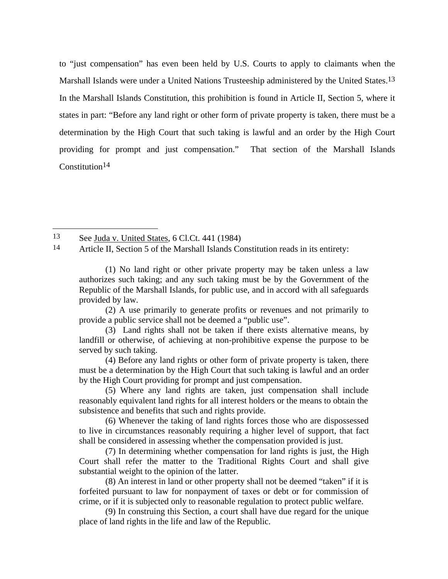to "just compensation" has even been held by U.S. Courts to apply to claimants when the Marshall Islands were under a United Nations Trusteeship administered by the United States.<sup>13</sup> In the Marshall Islands Constitution, this prohibition is found in Article II, Section 5, where it states in part: "Before any land right or other form of private property is taken, there must be a determination by the High Court that such taking is lawful and an order by the High Court providing for prompt and just compensation." That section of the Marshall Islands Constitution<sup>14</sup>

13 See Juda v. United States, 6 Cl.Ct. 441 (1984)

 $\overline{a}$ 

14 Article II, Section 5 of the Marshall Islands Constitution reads in its entirety:

(2) A use primarily to generate profits or revenues and not primarily to provide a public service shall not be deemed a "public use".

(4) Before any land rights or other form of private property is taken, there must be a determination by the High Court that such taking is lawful and an order by the High Court providing for prompt and just compensation.

(5) Where any land rights are taken, just compensation shall include reasonably equivalent land rights for all interest holders or the means to obtain the subsistence and benefits that such and rights provide.

(6) Whenever the taking of land rights forces those who are dispossessed to live in circumstances reasonably requiring a higher level of support, that fact shall be considered in assessing whether the compensation provided is just.

(7) In determining whether compensation for land rights is just, the High Court shall refer the matter to the Traditional Rights Court and shall give substantial weight to the opinion of the latter.

(8) An interest in land or other property shall not be deemed "taken" if it is forfeited pursuant to law for nonpayment of taxes or debt or for commission of crime, or if it is subjected only to reasonable regulation to protect public welfare.

(9) In construing this Section, a court shall have due regard for the unique place of land rights in the life and law of the Republic.

<sup>(1)</sup> No land right or other private property may be taken unless a law authorizes such taking; and any such taking must be by the Government of the Republic of the Marshall Islands, for public use, and in accord with all safeguards provided by law.

<sup>(3)</sup> Land rights shall not be taken if there exists alternative means, by landfill or otherwise, of achieving at non-prohibitive expense the purpose to be served by such taking.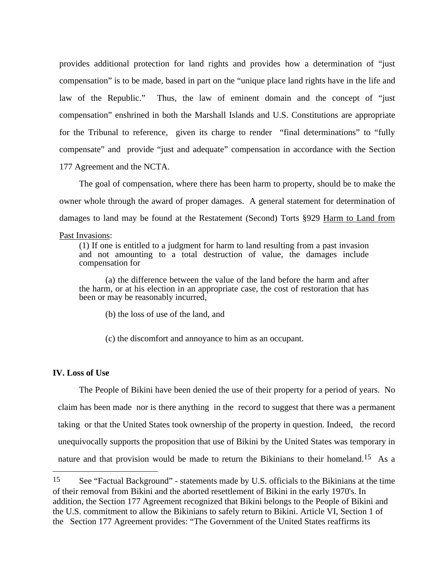provides additional protection for land rights and provides how a determination of "just compensation" is to be made, based in part on the "unique place land rights have in the life and law of the Republic." Thus, the law of eminent domain and the concept of "just compensation" enshrined in both the Marshall Islands and U.S. Constitutions are appropriate for the Tribunal to reference, given its charge to render "final determinations" to "fully compensate" and provide "just and adequate" compensation in accordance with the Section 177 Agreement and the NCTA.

The goal of compensation, where there has been harm to property, should be to make the owner whole through the award of proper damages. A general statement for determination of damages to land may be found at the Restatement (Second) Torts §929 Harm to Land from

#### Past Invasions:

(1) If one is entitled to a judgment for harm to land resulting from a past invasion and not amounting to a total destruction of value, the damages include compensation for

(a) the difference between the value of the land before the harm and after the harm, or at his election in an appropriate case, the cost of restoration that has been or may be reasonably incurred.

(b) the loss of use of the land, and

(c) the discomfort and annoyance to him as an occupant.

# **IV. Loss of Use**

 $\overline{a}$ 

The People of Bikini have been denied the use of their property for a period of years. No claim has been made nor is there anything in the record to suggest that there was a permanent taking or that the United States took ownership of the property in question. Indeed, the record unequivocally supports the proposition that use of Bikini by the United States was temporary in nature and that provision would be made to return the Bikinians to their homeland.<sup>15</sup> As a

<sup>15</sup> See "Factual Background" *-* statements made by U.S. officials to the Bikinians at the time of their removal from Bikini and the aborted resettlement of Bikini in the early 1970's. In addition, the Section 177 Agreement recognized that Bikini belongs to the People of Bikini and the U.S. commitment to allow the Bikinians to safely return to Bikini. Article VI, Section 1 of the Section 177 Agreement provides: "The Government of the United States reaffirms its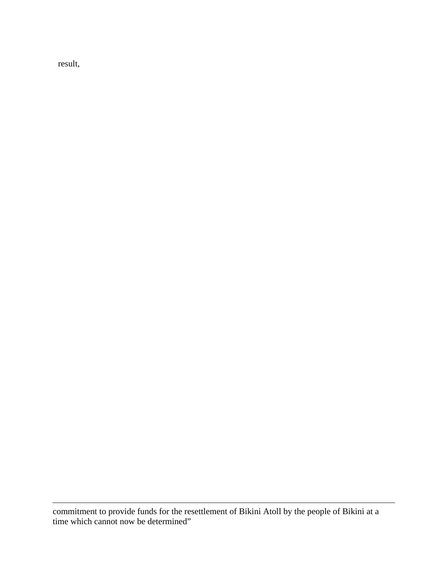result,

 $\overline{\phantom{a}}$ 

commitment to provide funds for the resettlement of Bikini Atoll by the people of Bikini at a time which cannot now be determined"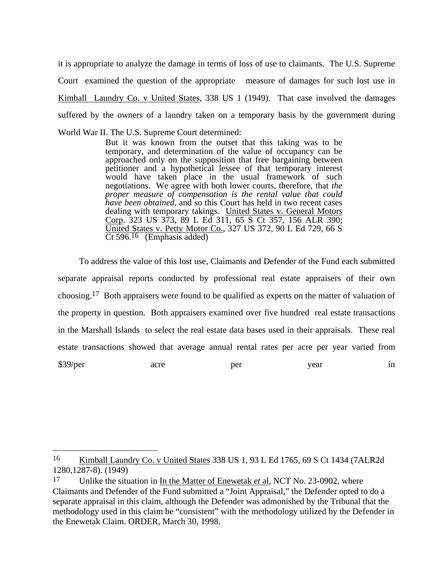it is appropriate to analyze the damage in terms of loss of use to claimants. The U.S. Supreme Court examined the question of the appropriate measure of damages for such lost use in Kimball Laundry Co. v United States, 338 US 1 (1949). That case involved the damages suffered by the owners of a laundry taken on a temporary basis by the government during World War II. The U.S. Supreme Court determined:

But it was known from the outset that this taking was to be temporary, and determination of the value of occupancy can be approached only on the supposition that free bargaining between petitioner and a hypothetical lessee of that temporary interest would have taken place in the usual framework of such negotiations. We agree with both lower courts, therefore, that *the proper measure of compensation is the rental value that could have been obtained,* and so this Court has held in two recent cases dealing with temporary takings. United States v. General Motors Corp. 323 US 373, 89 L Ed 311, 65 S Ct 357, 156 ALR 390; United States v. Petty Motor Co., 327 US 372, 90 L Ed 729, 66 S Ct 596.<sup>16</sup> (Emphasis added)

To address the value of this lost use, Claimants and Defender of the Fund each submitted separate appraisal reports conducted by professional real estate appraisers of their own choosing.17 Both appraisers were found to be qualified as experts on the matter of valuation of the property in question. Both appraisers examined over five hundred real estate transactions in the Marshall Islands to select the real estate data bases used in their appraisals. These real estate transactions showed that average annual rental rates per acre per year varied from \$39/per acre per year in

<sup>16</sup> Kimball Laundry Co. v United States 338 US 1, 93 L Ed 1765, 69 S Ct 1434 (7ALR2d 1280,1287-8). (1949)

<sup>17</sup> Unlike the situation in In the Matter of Enewetak *et* al, NCT No. 23-0902, where Claimants and Defender of the Fund submitted a "Joint Appraisal," the Defender opted to do a separate appraisal in this claim, although the Defender was admonished by the Tribunal that the methodology used in this claim be "consistent" with the methodology utilized by the Defender in the Enewetak Claim. ORDER, March 30, 1998.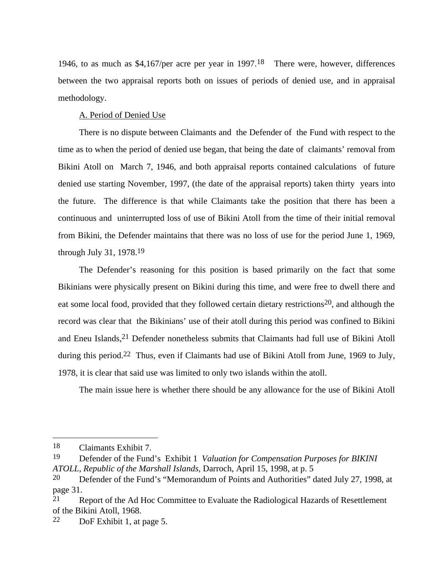1946, to as much as \$4,167/per acre per year in 1997.18 There were, however, differences between the two appraisal reports both on issues of periods of denied use, and in appraisal methodology.

# A. Period of Denied Use

There is no dispute between Claimants and the Defender of the Fund with respect to the time as to when the period of denied use began, that being the date of claimants' removal from Bikini Atoll on March 7, 1946, and both appraisal reports contained calculations of future denied use starting November, 1997, (the date of the appraisal reports) taken thirty years into the future. The difference is that while Claimants take the position that there has been a continuous and uninterrupted loss of use of Bikini Atoll from the time of their initial removal from Bikini, the Defender maintains that there was no loss of use for the period June 1, 1969, through July 31, 1978.19

The Defender's reasoning for this position is based primarily on the fact that some Bikinians were physically present on Bikini during this time, and were free to dwell there and eat some local food, provided that they followed certain dietary restrictions<sup>20</sup>, and although the record was clear that the Bikinians' use of their atoll during this period was confined to Bikini and Eneu Islands,<sup>21</sup> Defender nonetheless submits that Claimants had full use of Bikini Atoll during this period.<sup>22</sup> Thus, even if Claimants had use of Bikini Atoll from June, 1969 to July, 1978, it is clear that said use was limited to only two islands within the atoll.

The main issue here is whether there should be any allowance for the use of Bikini Atoll

<sup>18</sup> Claimants Exhibit 7.

<sup>19</sup> Defender of the Fund's Exhibit 1 *Valuation for Compensation Purposes for BIKINI ATOLL, Republic of the Marshall Islands,* Darroch, April 15, 1998, at p. 5

<sup>&</sup>lt;sup>20</sup> Defender of the Fund's "Memorandum of Points and Authorities" dated July 27, 1998, at page 31.

<sup>21</sup> Report of the Ad Hoc Committee to Evaluate the Radiological Hazards of Resettlement of the Bikini Atoll, 1968.

<sup>22</sup> DoF Exhibit 1, at page 5.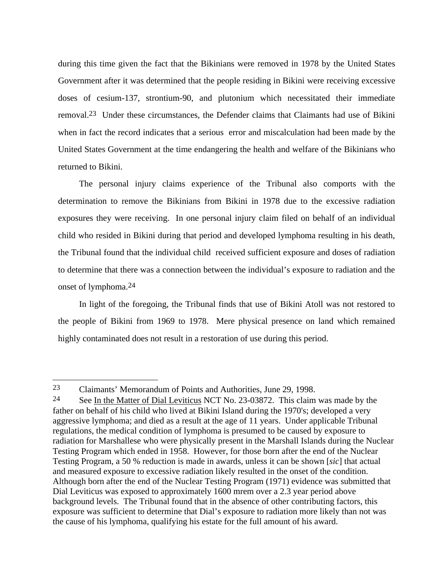during this time given the fact that the Bikinians were removed in 1978 by the United States Government after it was determined that the people residing in Bikini were receiving excessive doses of cesium-137, strontium-90, and plutonium which necessitated their immediate removal.23 Under these circumstances, the Defender claims that Claimants had use of Bikini when in fact the record indicates that a serious error and miscalculation had been made by the United States Government at the time endangering the health and welfare of the Bikinians who returned to Bikini.

The personal injury claims experience of the Tribunal also comports with the determination to remove the Bikinians from Bikini in 1978 due to the excessive radiation exposures they were receiving. In one personal injury claim filed on behalf of an individual child who resided in Bikini during that period and developed lymphoma resulting in his death, the Tribunal found that the individual child received sufficient exposure and doses of radiation to determine that there was a connection between the individual's exposure to radiation and the onset of lymphoma.24

In light of the foregoing, the Tribunal finds that use of Bikini Atoll was not restored to the people of Bikini from 1969 to 1978. Mere physical presence on land which remained highly contaminated does not result in a restoration of use during this period.

<sup>23</sup> Claimants' Memorandum of Points and Authorities, June 29, 1998.

<sup>&</sup>lt;sup>24</sup> See In the Matter of Dial Leviticus NCT No. 23-03872. This claim was made by the father on behalf of his child who lived at Bikini Island during the 1970's; developed a very aggressive lymphoma; and died as a result at the age of 11 years. Under applicable Tribunal regulations, the medical condition of lymphoma is presumed to be caused by exposure to radiation for Marshallese who were physically present in the Marshall Islands during the Nuclear Testing Program which ended in 1958. However, for those born after the end of the Nuclear Testing Program, a 50 % reduction is made in awards, unless it can be shown [*sic*] that actual and measured exposure to excessive radiation likely resulted in the onset of the condition. Although born after the end of the Nuclear Testing Program (1971) evidence was submitted that Dial Leviticus was exposed to approximately 1600 mrem over a 2.3 year period above background levels. The Tribunal found that in the absence of other contributing factors, this exposure was sufficient to determine that Dial's exposure to radiation more likely than not was the cause of his lymphoma, qualifying his estate for the full amount of his award.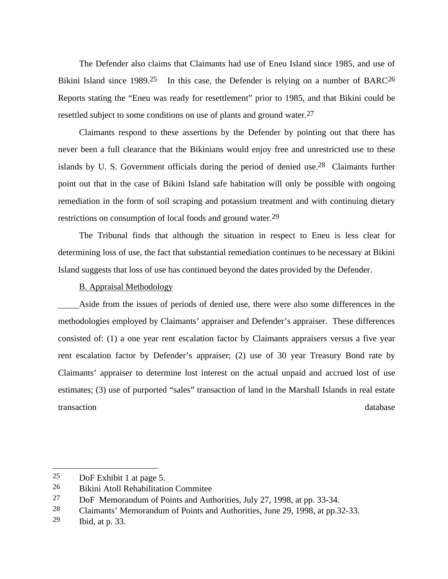The Defender also claims that Claimants had use of Eneu Island since 1985, and use of Bikini Island since  $1989<sup>25</sup>$  In this case, the Defender is relying on a number of BARC<sup>26</sup> Reports stating the "Eneu was ready for resettlement" prior to 1985, and that Bikini could be resettled subject to some conditions on use of plants and ground water.<sup>27</sup>

Claimants respond to these assertions by the Defender by pointing out that there has never been a full clearance that the Bikinians would enjoy free and unrestricted use to these islands by U. S. Government officials during the period of denied use.28 Claimants further point out that in the case of Bikini Island safe habitation will only be possible with ongoing remediation in the form of soil scraping and potassium treatment and with continuing dietary restrictions on consumption of local foods and ground water.29

The Tribunal finds that although the situation in respect to Eneu is less clear for determining loss of use, the fact that substantial remediation continues to be necessary at Bikini Island suggests that loss of use has continued beyond the dates provided by the Defender.

# B. Appraisal Methodology

 Aside from the issues of periods of denied use, there were also some differences in the methodologies employed by Claimants' appraiser and Defender's appraiser. These differences consisted of: (1) a one year rent escalation factor by Claimants appraisers versus a five year rent escalation factor by Defender's appraiser; (2) use of 30 year Treasury Bond rate by Claimants' appraiser to determine lost interest on the actual unpaid and accrued lost of use estimates; (3) use of purported "sales" transaction of land in the Marshall Islands in real estate transaction database database database database database database database database database database database

<sup>25</sup> DoF Exhibit 1 at page 5.

<sup>26</sup> Bikini Atoll Rehabilitation Commitee

<sup>27</sup> DoF Memorandum of Points and Authorities, July 27, 1998, at pp. 33-34.

<sup>28</sup> Claimants' Memorandum of Points and Authorities, June 29, 1998, at pp.32-33.

<sup>29</sup> Ibid, at p. 33.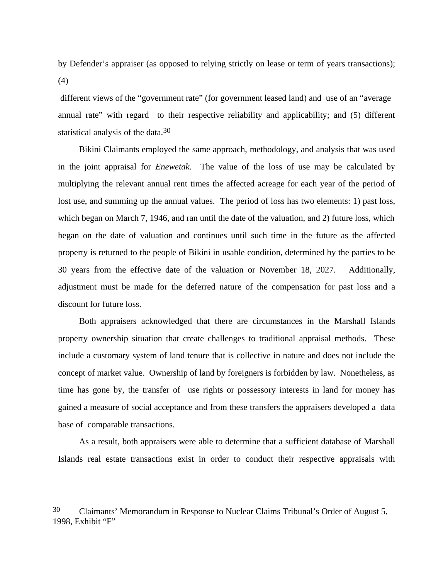by Defender's appraiser (as opposed to relying strictly on lease or term of years transactions); (4)

 different views of the "government rate" (for government leased land) and use of an "average annual rate" with regard to their respective reliability and applicability; and (5) different statistical analysis of the data.<sup>30</sup>

Bikini Claimants employed the same approach, methodology, and analysis that was used in the joint appraisal for *Enewetak.* The value of the loss of use may be calculated by multiplying the relevant annual rent times the affected acreage for each year of the period of lost use, and summing up the annual values. The period of loss has two elements: 1) past loss, which began on March 7, 1946, and ran until the date of the valuation, and 2) future loss, which began on the date of valuation and continues until such time in the future as the affected property is returned to the people of Bikini in usable condition, determined by the parties to be 30 years from the effective date of the valuation or November 18, 2027. Additionally, adjustment must be made for the deferred nature of the compensation for past loss and a discount for future loss.

Both appraisers acknowledged that there are circumstances in the Marshall Islands property ownership situation that create challenges to traditional appraisal methods. These include a customary system of land tenure that is collective in nature and does not include the concept of market value. Ownership of land by foreigners is forbidden by law. Nonetheless, as time has gone by, the transfer of use rights or possessory interests in land for money has gained a measure of social acceptance and from these transfers the appraisers developed a data base of comparable transactions.

As a result, both appraisers were able to determine that a sufficient database of Marshall Islands real estate transactions exist in order to conduct their respective appraisals with

l

<sup>30</sup> Claimants' Memorandum in Response to Nuclear Claims Tribunal's Order of August 5, 1998, Exhibit "F"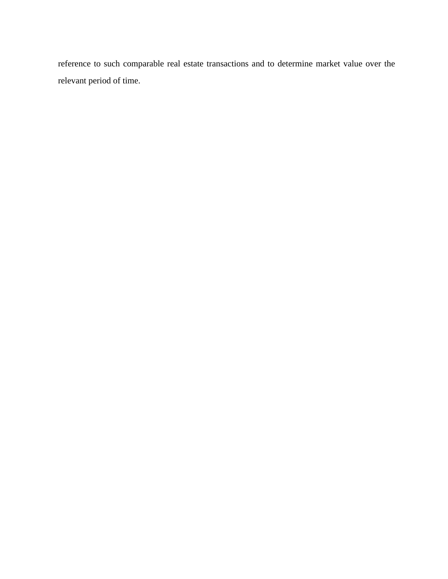reference to such comparable real estate transactions and to determine market value over the relevant period of time.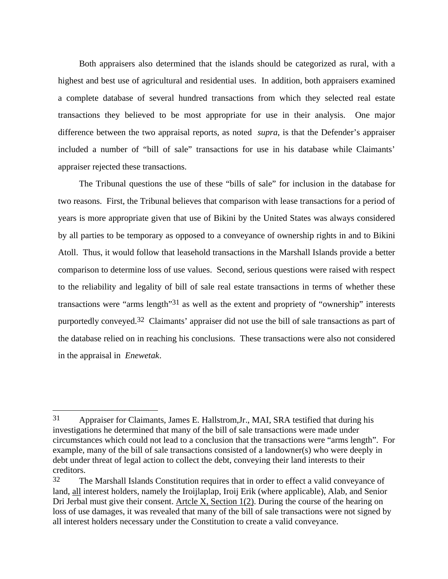Both appraisers also determined that the islands should be categorized as rural, with a highest and best use of agricultural and residential uses. In addition, both appraisers examined a complete database of several hundred transactions from which they selected real estate transactions they believed to be most appropriate for use in their analysis. One major difference between the two appraisal reports, as noted *supra*, is that the Defender's appraiser included a number of "bill of sale" transactions for use in his database while Claimants' appraiser rejected these transactions.

The Tribunal questions the use of these "bills of sale" for inclusion in the database for two reasons. First, the Tribunal believes that comparison with lease transactions for a period of years is more appropriate given that use of Bikini by the United States was always considered by all parties to be temporary as opposed to a conveyance of ownership rights in and to Bikini Atoll. Thus, it would follow that leasehold transactions in the Marshall Islands provide a better comparison to determine loss of use values. Second, serious questions were raised with respect to the reliability and legality of bill of sale real estate transactions in terms of whether these transactions were "arms length"31 as well as the extent and propriety of "ownership" interests purportedly conveyed.<sup>32</sup> Claimants' appraiser did not use the bill of sale transactions as part of the database relied on in reaching his conclusions. These transactions were also not considered in the appraisal in *Enewetak*.

l

<sup>31</sup> Appraiser for Claimants, James E. Hallstrom,Jr., MAI, SRA testified that during his investigations he determined that many of the bill of sale transactions were made under circumstances which could not lead to a conclusion that the transactions were "arms length". For example, many of the bill of sale transactions consisted of a landowner(s) who were deeply in debt under threat of legal action to collect the debt, conveying their land interests to their creditors.

<sup>32</sup> The Marshall Islands Constitution requires that in order to effect a valid conveyance of land, all interest holders, namely the Iroijlaplap, Iroij Erik (where applicable), Alab, and Senior Dri Jerbal must give their consent. Artcle X, Section 1(2). During the course of the hearing on loss of use damages, it was revealed that many of the bill of sale transactions were not signed by all interest holders necessary under the Constitution to create a valid conveyance.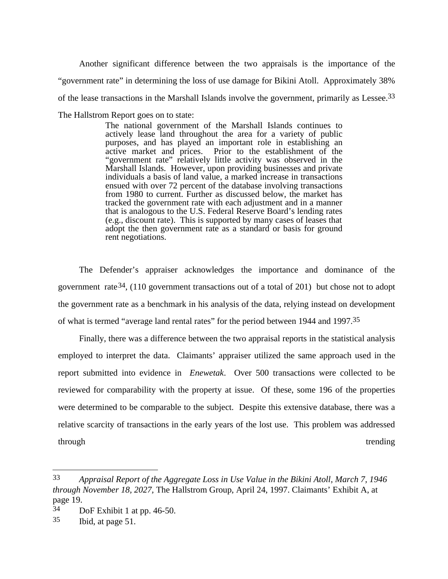Another significant difference between the two appraisals is the importance of the "government rate" in determining the loss of use damage for Bikini Atoll. Approximately 38% of the lease transactions in the Marshall Islands involve the government, primarily as Lessee.33 The Hallstrom Report goes on to state:

> The national government of the Marshall Islands continues to actively lease land throughout the area for a variety of public purposes, and has played an important role in establishing an active market and prices. Prior to the establishment of the "government rate" relatively little activity was observed in the Marshall Islands. However, upon providing businesses and private individuals a basis of land value, a marked increase in transactions ensued with over 72 percent of the database involving transactions from 1980 to current. Further as discussed below, the market has tracked the government rate with each adjustment and in a manner that is analogous to the U.S. Federal Reserve Board's lending rates (e.g., discount rate). This is supported by many cases of leases that adopt the then government rate as a standard or basis for ground rent negotiations.

The Defender's appraiser acknowledges the importance and dominance of the government rate<sup>34</sup>, (110 government transactions out of a total of 201) but chose not to adopt the government rate as a benchmark in his analysis of the data, relying instead on development of what is termed "average land rental rates" for the period between 1944 and 1997.35

Finally, there was a difference between the two appraisal reports in the statistical analysis employed to interpret the data. Claimants' appraiser utilized the same approach used in the report submitted into evidence in *Enewetak*. Over 500 transactions were collected to be reviewed for comparability with the property at issue. Of these, some 196 of the properties were determined to be comparable to the subject. Despite this extensive database, there was a relative scarcity of transactions in the early years of the lost use. This problem was addressed through trending trending through the state of the state of the state of the state of the state of the state of the state of the state of the state of the state of the state of the state of the state of the state of the st

<sup>33</sup> *Appraisal Report of the Aggregate Loss in Use Value in the Bikini Atoll, March 7, 1946 through November 18, 2027,* The Hallstrom Group, April 24, 1997. Claimants' Exhibit A, at page 19.<br>34

DoF Exhibit 1 at pp. 46-50.

<sup>35</sup> Ibid, at page 51.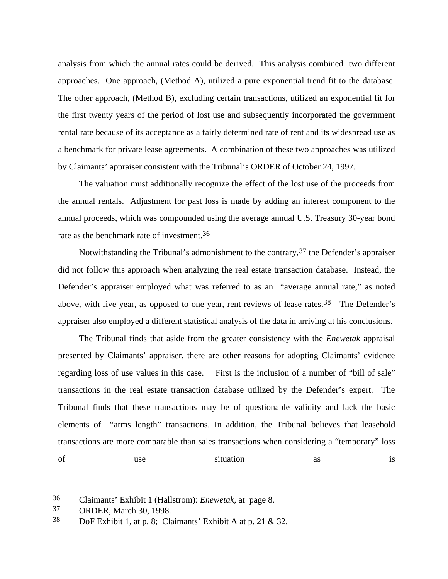analysis from which the annual rates could be derived. This analysis combined two different approaches. One approach, (Method A), utilized a pure exponential trend fit to the database. The other approach, (Method B), excluding certain transactions, utilized an exponential fit for the first twenty years of the period of lost use and subsequently incorporated the government rental rate because of its acceptance as a fairly determined rate of rent and its widespread use as a benchmark for private lease agreements. A combination of these two approaches was utilized by Claimants' appraiser consistent with the Tribunal's ORDER of October 24, 1997.

The valuation must additionally recognize the effect of the lost use of the proceeds from the annual rentals. Adjustment for past loss is made by adding an interest component to the annual proceeds, which was compounded using the average annual U.S. Treasury 30-year bond rate as the benchmark rate of investment.36

Notwithstanding the Tribunal's admonishment to the contrary,  $37$  the Defender's appraiser did not follow this approach when analyzing the real estate transaction database. Instead, the Defender's appraiser employed what was referred to as an "average annual rate," as noted above, with five year, as opposed to one year, rent reviews of lease rates.<sup>38</sup> The Defender's appraiser also employed a different statistical analysis of the data in arriving at his conclusions.

The Tribunal finds that aside from the greater consistency with the *Enewetak* appraisal presented by Claimants' appraiser, there are other reasons for adopting Claimants' evidence regarding loss of use values in this case. First is the inclusion of a number of "bill of sale" transactions in the real estate transaction database utilized by the Defender's expert. The Tribunal finds that these transactions may be of questionable validity and lack the basic elements of "arms length" transactions. In addition, the Tribunal believes that leasehold transactions are more comparable than sales transactions when considering a "temporary" loss of use situation as is

<sup>36</sup> Claimants' Exhibit 1 (Hallstrom): *Enewetak,* at page 8.

<sup>37</sup> ORDER, March 30, 1998.

<sup>38</sup> DoF Exhibit 1, at p. 8; Claimants' Exhibit A at p. 21 & 32.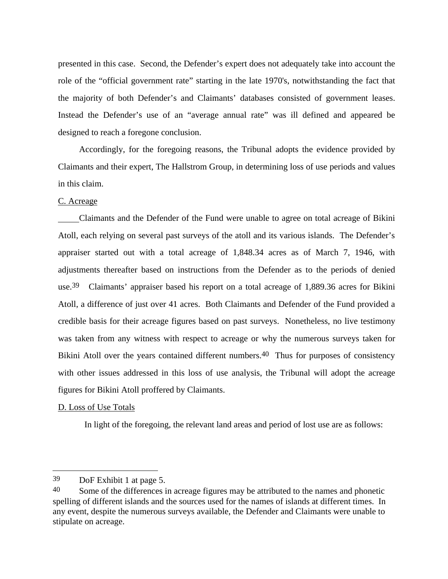presented in this case. Second, the Defender's expert does not adequately take into account the role of the "official government rate" starting in the late 1970's, notwithstanding the fact that the majority of both Defender's and Claimants' databases consisted of government leases. Instead the Defender's use of an "average annual rate" was ill defined and appeared be designed to reach a foregone conclusion.

Accordingly, for the foregoing reasons, the Tribunal adopts the evidence provided by Claimants and their expert, The Hallstrom Group, in determining loss of use periods and values in this claim.

# C. Acreage

 Claimants and the Defender of the Fund were unable to agree on total acreage of Bikini Atoll, each relying on several past surveys of the atoll and its various islands. The Defender's appraiser started out with a total acreage of 1,848.34 acres as of March 7, 1946, with adjustments thereafter based on instructions from the Defender as to the periods of denied use.<sup>39</sup> Claimants' appraiser based his report on a total acreage of 1,889.36 acres for Bikini Atoll, a difference of just over 41 acres. Both Claimants and Defender of the Fund provided a credible basis for their acreage figures based on past surveys. Nonetheless, no live testimony was taken from any witness with respect to acreage or why the numerous surveys taken for Bikini Atoll over the years contained different numbers.<sup>40</sup> Thus for purposes of consistency with other issues addressed in this loss of use analysis, the Tribunal will adopt the acreage figures for Bikini Atoll proffered by Claimants.

# D. Loss of Use Totals

 $\overline{\phantom{a}}$ 

In light of the foregoing, the relevant land areas and period of lost use are as follows:

<sup>39</sup> DoF Exhibit 1 at page 5.

<sup>&</sup>lt;sup>40</sup> Some of the differences in acreage figures may be attributed to the names and phonetic spelling of different islands and the sources used for the names of islands at different times. In any event, despite the numerous surveys available, the Defender and Claimants were unable to stipulate on acreage.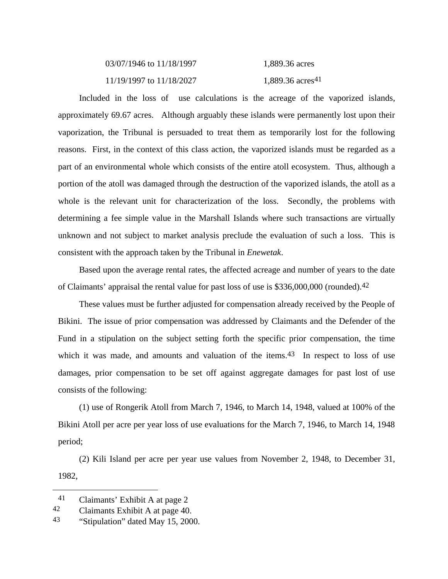| 03/07/1946 to 11/18/1997 | 1,889.36 acres     |
|--------------------------|--------------------|
| 11/19/1997 to 11/18/2027 | 1,889.36 $acres41$ |

Included in the loss of use calculations is the acreage of the vaporized islands, approximately 69.67 acres. Although arguably these islands were permanently lost upon their vaporization, the Tribunal is persuaded to treat them as temporarily lost for the following reasons. First, in the context of this class action, the vaporized islands must be regarded as a part of an environmental whole which consists of the entire atoll ecosystem. Thus, although a portion of the atoll was damaged through the destruction of the vaporized islands, the atoll as a whole is the relevant unit for characterization of the loss. Secondly, the problems with determining a fee simple value in the Marshall Islands where such transactions are virtually unknown and not subject to market analysis preclude the evaluation of such a loss. This is consistent with the approach taken by the Tribunal in *Enewetak*.

Based upon the average rental rates, the affected acreage and number of years to the date of Claimants' appraisal the rental value for past loss of use is \$336,000,000 (rounded).42

These values must be further adjusted for compensation already received by the People of Bikini. The issue of prior compensation was addressed by Claimants and the Defender of the Fund in a stipulation on the subject setting forth the specific prior compensation, the time which it was made, and amounts and valuation of the items.<sup>43</sup> In respect to loss of use damages, prior compensation to be set off against aggregate damages for past lost of use consists of the following:

(1) use of Rongerik Atoll from March 7, 1946, to March 14, 1948, valued at 100% of the Bikini Atoll per acre per year loss of use evaluations for the March 7, 1946, to March 14, 1948 period;

(2) Kili Island per acre per year use values from November 2, 1948, to December 31, 1982,

<sup>41</sup> Claimants' Exhibit A at page 2

<sup>42</sup> Claimants Exhibit A at page 40.

<sup>43</sup> "Stipulation" dated May 15, 2000.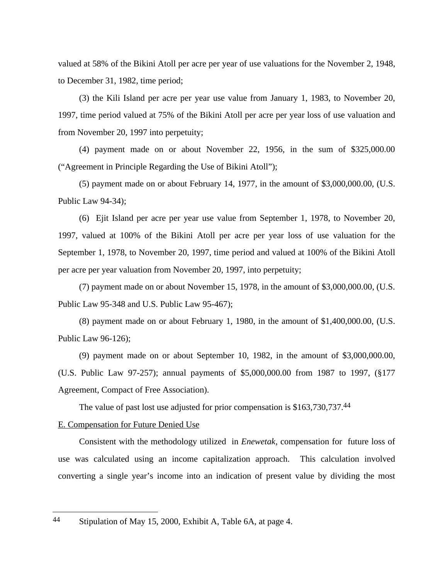valued at 58% of the Bikini Atoll per acre per year of use valuations for the November 2, 1948, to December 31, 1982, time period;

(3) the Kili Island per acre per year use value from January 1, 1983, to November 20, 1997, time period valued at 75% of the Bikini Atoll per acre per year loss of use valuation and from November 20, 1997 into perpetuity;

(4) payment made on or about November 22, 1956, in the sum of \$325,000.00 ("Agreement in Principle Regarding the Use of Bikini Atoll");

(5) payment made on or about February 14, 1977, in the amount of \$3,000,000.00, (U.S. Public Law 94-34);

(6) Ejit Island per acre per year use value from September 1, 1978, to November 20, 1997, valued at 100% of the Bikini Atoll per acre per year loss of use valuation for the September 1, 1978, to November 20, 1997, time period and valued at 100% of the Bikini Atoll per acre per year valuation from November 20, 1997, into perpetuity;

(7) payment made on or about November 15, 1978, in the amount of \$3,000,000.00, (U.S. Public Law 95-348 and U.S. Public Law 95-467);

(8) payment made on or about February 1, 1980, in the amount of \$1,400,000.00, (U.S. Public Law 96-126);

(9) payment made on or about September 10, 1982, in the amount of \$3,000,000.00, (U.S. Public Law 97-257); annual payments of \$5,000,000.00 from 1987 to 1997, (§177 Agreement, Compact of Free Association).

The value of past lost use adjusted for prior compensation is \$163,730,737.44

#### E. Compensation for Future Denied Use

Consistent with the methodology utilized in *Enewetak*, compensation for future loss of use was calculated using an income capitalization approach. This calculation involved converting a single year's income into an indication of present value by dividing the most

<sup>44</sup> Stipulation of May 15, 2000, Exhibit A, Table 6A, at page 4.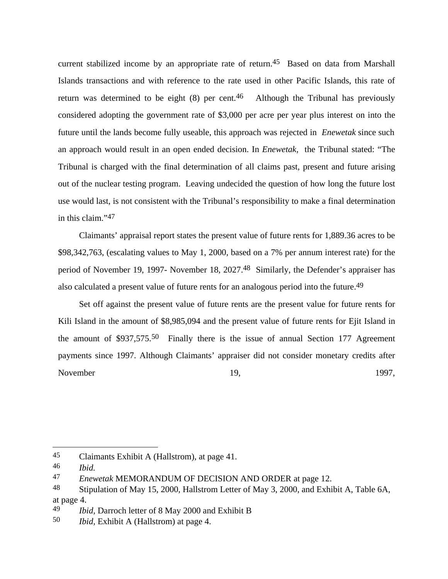current stabilized income by an appropriate rate of return.45 Based on data from Marshall Islands transactions and with reference to the rate used in other Pacific Islands, this rate of return was determined to be eight  $(8)$  per cent.<sup>46</sup> Although the Tribunal has previously considered adopting the government rate of \$3,000 per acre per year plus interest on into the future until the lands become fully useable, this approach was rejected in *Enewetak* since such an approach would result in an open ended decision. In *Enewetak,* the Tribunal stated: "The Tribunal is charged with the final determination of all claims past, present and future arising out of the nuclear testing program. Leaving undecided the question of how long the future lost use would last, is not consistent with the Tribunal's responsibility to make a final determination in this claim."47

Claimants' appraisal report states the present value of future rents for 1,889.36 acres to be \$98,342,763, (escalating values to May 1, 2000, based on a 7% per annum interest rate) for the period of November 19, 1997- November 18, 2027.48 Similarly, the Defender's appraiser has also calculated a present value of future rents for an analogous period into the future.<sup>49</sup>

Set off against the present value of future rents are the present value for future rents for Kili Island in the amount of \$8,985,094 and the present value of future rents for Ejit Island in the amount of \$937,575.50 Finally there is the issue of annual Section 177 Agreement payments since 1997. Although Claimants' appraiser did not consider monetary credits after November 19, 1997,

<sup>45</sup> Claimants Exhibit A (Hallstrom), at page 41.

<sup>46</sup> *Ibid.*

<sup>47</sup> *Enewetak* MEMORANDUM OF DECISION AND ORDER at page 12.

<sup>&</sup>lt;sup>48</sup> Stipulation of May 15, 2000, Hallstrom Letter of May 3, 2000, and Exhibit A, Table 6A, at page 4.

<sup>49</sup> *Ibid,* Darroch letter of 8 May 2000 and Exhibit B

<sup>50</sup> *Ibid,* Exhibit A (Hallstrom) at page 4.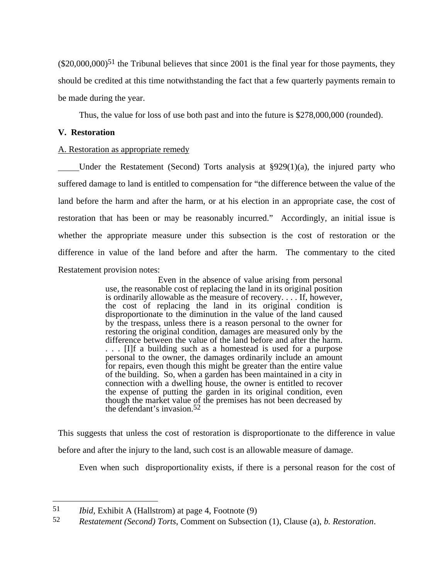$(S20,000,000)^{51}$  the Tribunal believes that since 2001 is the final year for those payments, they should be credited at this time notwithstanding the fact that a few quarterly payments remain to be made during the year.

Thus, the value for loss of use both past and into the future is \$278,000,000 (rounded).

# **V. Restoration**

# A. Restoration as appropriate remedy

 Under the Restatement (Second) Torts analysis at §929(1)(a), the injured party who suffered damage to land is entitled to compensation for "the difference between the value of the land before the harm and after the harm, or at his election in an appropriate case, the cost of restoration that has been or may be reasonably incurred." Accordingly, an initial issue is whether the appropriate measure under this subsection is the cost of restoration or the difference in value of the land before and after the harm. The commentary to the cited Restatement provision notes:

> Even in the absence of value arising from personal use, the reasonable cost of replacing the land in its original position is ordinarily allowable as the measure of recovery. . . . If, however, the cost of replacing the land in its original condition is disproportionate to the diminution in the value of the land caused by the trespass, unless there is a reason personal to the owner for restoring the original condition, damages are measured only by the difference between the value of the land before and after the harm. . . . [I]f a building such as a homestead is used for a purpose personal to the owner, the damages ordinarily include an amount for repairs, even though this might be greater than the entire value of the building. So, when a garden has been maintained in a city in connection with a dwelling house, the owner is entitled to recover the expense of putting the garden in its original condition, even though the market value of the premises has not been decreased by the defendant's invasion.52

This suggests that unless the cost of restoration is disproportionate to the difference in value before and after the injury to the land, such cost is an allowable measure of damage.

Even when such disproportionality exists, if there is a personal reason for the cost of

<sup>51</sup> *Ibid,* Exhibit A (Hallstrom) at page 4, Footnote (9)

<sup>52</sup> *Restatement (Second) Torts*, Comment on Subsection (1), Clause (a), *b. Restoration*.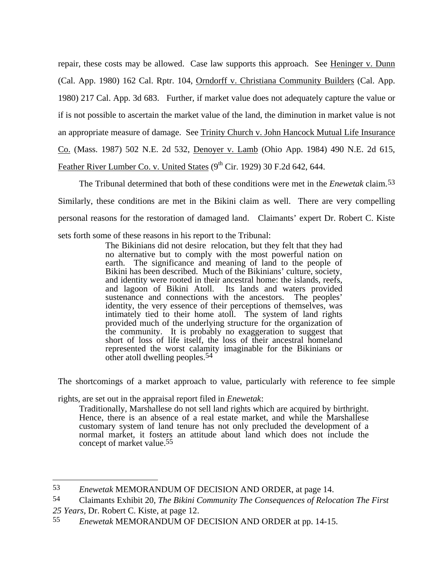repair, these costs may be allowed. Case law supports this approach. See Heninger v. Dunn (Cal. App. 1980) 162 Cal. Rptr. 104, Orndorff v. Christiana Community Builders (Cal. App. 1980) 217 Cal. App. 3d 683. Further, if market value does not adequately capture the value or if is not possible to ascertain the market value of the land, the diminution in market value is not an appropriate measure of damage. See Trinity Church v. John Hancock Mutual Life Insurance Co. (Mass. 1987) 502 N.E. 2d 532, Denoyer v. Lamb (Ohio App. 1984) 490 N.E. 2d 615, Feather River Lumber Co. v. United States  $(9^{th}$  Cir. 1929) 30 F.2d 642, 644.

The Tribunal determined that both of these conditions were met in the *Enewetak* claim.53 Similarly, these conditions are met in the Bikini claim as well. There are very compelling personal reasons for the restoration of damaged land. Claimants' expert Dr. Robert C. Kiste sets forth some of these reasons in his report to the Tribunal:

> The Bikinians did not desire relocation, but they felt that they had no alternative but to comply with the most powerful nation on earth. The significance and meaning of land to the people of Bikini has been described. Much of the Bikinians' culture, society, and identity were rooted in their ancestral home: the islands, reefs, and lagoon of Bikini Atoll. Its lands and waters provided sustenance and connections with the ancestors. The peoples' identity, the very essence of their perceptions of themselves, was intimately tied to their home atoll. The system of land rights provided much of the underlying structure for the organization of the community. It is probably no exaggeration to suggest that short of loss of life itself, the loss of their ancestral homeland represented the worst calamity imaginable for the Bikinians or other atoll dwelling peoples.54

The shortcomings of a market approach to value, particularly with reference to fee simple

rights, are set out in the appraisal report filed in *Enewetak*:

 $\overline{a}$ 

Traditionally, Marshallese do not sell land rights which are acquired by birthright. Hence, there is an absence of a real estate market, and while the Marshallese customary system of land tenure has not only precluded the development of a normal market, it fosters an attitude about land which does not include the concept of market value.55

<sup>53</sup> *Enewetak* MEMORANDUM OF DECISION AND ORDER, at page 14.

<sup>54</sup> Claimants Exhibit 20, *The Bikini Community The Consequences of Relocation The First 25 Years,* Dr. Robert C. Kiste, at page 12.

<sup>55</sup> *Enewetak* MEMORANDUM OF DECISION AND ORDER at pp. 14-15.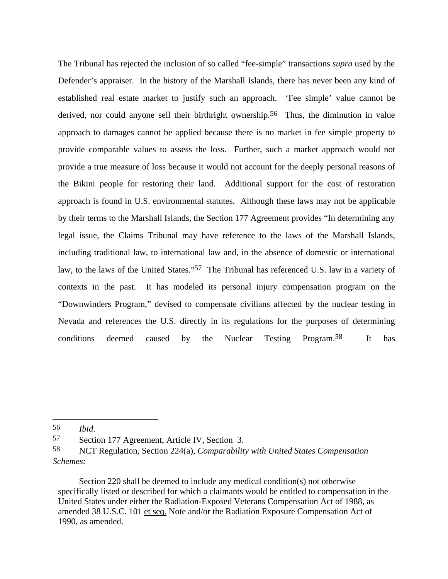The Tribunal has rejected the inclusion of so called "fee-simple" transactions *supra* used by the Defender's appraiser. In the history of the Marshall Islands, there has never been any kind of established real estate market to justify such an approach. 'Fee simple' value cannot be derived, nor could anyone sell their birthright ownership.<sup>56</sup> Thus, the diminution in value approach to damages cannot be applied because there is no market in fee simple property to provide comparable values to assess the loss. Further, such a market approach would not provide a true measure of loss because it would not account for the deeply personal reasons of the Bikini people for restoring their land. Additional support for the cost of restoration approach is found in U.S. environmental statutes. Although these laws may not be applicable by their terms to the Marshall Islands, the Section 177 Agreement provides "In determining any legal issue, the Claims Tribunal may have reference to the laws of the Marshall Islands, including traditional law, to international law and, in the absence of domestic or international law, to the laws of the United States."<sup>57</sup> The Tribunal has referenced U.S. law in a variety of contexts in the past. It has modeled its personal injury compensation program on the "Downwinders Program," devised to compensate civilians affected by the nuclear testing in Nevada and references the U.S. directly in its regulations for the purposes of determining conditions deemed caused by the Nuclear Testing Program.58 It has

 $\overline{a}$ 

Section 220 shall be deemed to include any medical condition(s) not otherwise specifically listed or described for which a claimants would be entitled to compensation in the United States under either the Radiation-Exposed Veterans Compensation Act of 1988, as amended 38 U.S.C. 101 et seq. Note and/or the Radiation Exposure Compensation Act of 1990, as amended.

<sup>56</sup> *Ibid*.

<sup>57</sup> Section 177 Agreement, Article IV, Section 3.

<sup>58</sup> NCT Regulation, Section 224(a), *Comparability with United States Compensation Schemes:*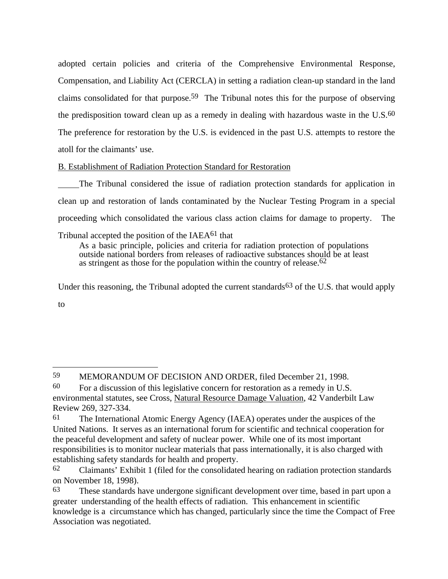adopted certain policies and criteria of the Comprehensive Environmental Response, Compensation, and Liability Act (CERCLA) in setting a radiation clean-up standard in the land claims consolidated for that purpose.<sup>59</sup> The Tribunal notes this for the purpose of observing the predisposition toward clean up as a remedy in dealing with hazardous waste in the  $U.S.^{60}$ The preference for restoration by the U.S. is evidenced in the past U.S. attempts to restore the atoll for the claimants' use.

B. Establishment of Radiation Protection Standard for Restoration

 The Tribunal considered the issue of radiation protection standards for application in clean up and restoration of lands contaminated by the Nuclear Testing Program in a special proceeding which consolidated the various class action claims for damage to property. The

Tribunal accepted the position of the IAEA61 that

 $\overline{a}$ 

As a basic principle, policies and criteria for radiation protection of populations outside national borders from releases of radioactive substances should be at least as stringent as those for the population within the country of release.62

Under this reasoning, the Tribunal adopted the current standards  $63$  of the U.S. that would apply to

59 MEMORANDUM OF DECISION AND ORDER, filed December 21, 1998.

<sup>60</sup> For a discussion of this legislative concern for restoration as a remedy in U.S. environmental statutes, see Cross, Natural Resource Damage Valuation, 42 Vanderbilt Law Review 269, 327-334.

<sup>61</sup> The International Atomic Energy Agency (IAEA) operates under the auspices of the United Nations. It serves as an international forum for scientific and technical cooperation for the peaceful development and safety of nuclear power. While one of its most important responsibilities is to monitor nuclear materials that pass internationally, it is also charged with establishing safety standards for health and property.

<sup>62</sup> Claimants' Exhibit 1 (filed for the consolidated hearing on radiation protection standards on November 18, 1998).

<sup>63</sup> These standards have undergone significant development over time, based in part upon a greater understanding of the health effects of radiation. This enhancement in scientific knowledge is a circumstance which has changed, particularly since the time the Compact of Free Association was negotiated.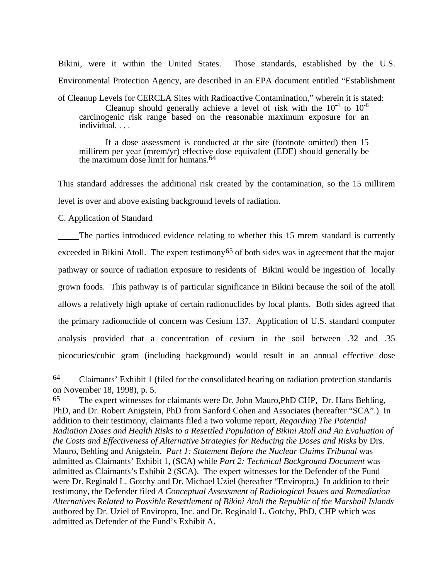Bikini, were it within the United States. Those standards, established by the U.S. Environmental Protection Agency, are described in an EPA document entitled "Establishment

of Cleanup Levels for CERCLA Sites with Radioactive Contamination," wherein it is stated:

Cleanup should generally achieve a level of risk with the  $10^{-4}$  to  $10^{-6}$ carcinogenic risk range based on the reasonable maximum exposure for an individual. . . .

If a dose assessment is conducted at the site (footnote omitted) then 15 millirem per year (mrem/yr) effective dose equivalent (EDE) should generally be the maximum dose limit for humans.64

This standard addresses the additional risk created by the contamination, so the 15 millirem level is over and above existing background levels of radiation.

# C. Application of Standard

 $\overline{a}$ 

 The parties introduced evidence relating to whether this 15 mrem standard is currently exceeded in Bikini Atoll. The expert testimony<sup>65</sup> of both sides was in agreement that the major pathway or source of radiation exposure to residents of Bikini would be ingestion of locally grown foods. This pathway is of particular significance in Bikini because the soil of the atoll allows a relatively high uptake of certain radionuclides by local plants. Both sides agreed that the primary radionuclide of concern was Cesium 137. Application of U.S. standard computer analysis provided that a concentration of cesium in the soil between .32 and .35 picocuries/cubic gram (including background) would result in an annual effective dose

<sup>64</sup> Claimants' Exhibit 1 (filed for the consolidated hearing on radiation protection standards on November 18, 1998), p. 5.

<sup>65</sup> The expert witnesses for claimants were Dr. John Mauro,PhD CHP, Dr. Hans Behling, PhD, and Dr. Robert Anigstein, PhD from Sanford Cohen and Associates (hereafter "SCA".) In addition to their testimony, claimants filed a two volume report, *Regarding The Potential Radiation Doses and Health Risks to a Resettled Population of Bikini Atoll and An Evaluation of the Costs and Effectiveness of Alternative Strategies for Reducing the Doses and Risks* by Drs. Mauro, Behling and Anigstein. *Part 1: Statement Before the Nuclear Claims Tribunal* was admitted as Claimants' Exhibit 1, (SCA) while *Part 2: Technical Background Document* was admitted as Claimants's Exhibit 2 (SCA). The expert witnesses for the Defender of the Fund were Dr. Reginald L. Gotchy and Dr. Michael Uziel (hereafter "Enviropro.) In addition to their testimony, the Defender filed *A Conceptual Assessment of Radiological Issues and Remediation Alternatives Related to Possible Resettlement of Bikini Atoll the Republic of the Marshall Islands* authored by Dr. Uziel of Enviropro, Inc. and Dr. Reginald L. Gotchy, PhD, CHP which was admitted as Defender of the Fund's Exhibit A.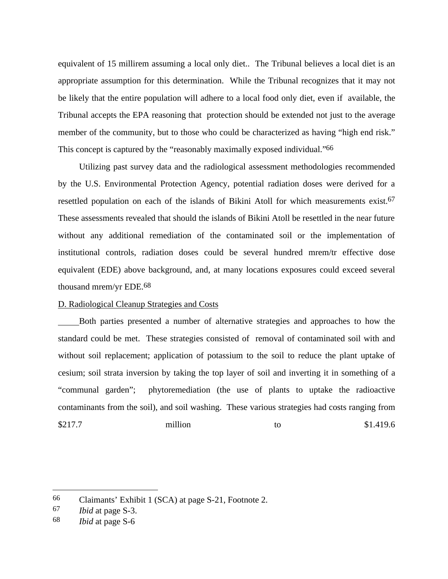equivalent of 15 millirem assuming a local only diet.. The Tribunal believes a local diet is an appropriate assumption for this determination. While the Tribunal recognizes that it may not be likely that the entire population will adhere to a local food only diet, even if available, the Tribunal accepts the EPA reasoning that protection should be extended not just to the average member of the community, but to those who could be characterized as having "high end risk." This concept is captured by the "reasonably maximally exposed individual."<sup>66</sup>

Utilizing past survey data and the radiological assessment methodologies recommended by the U.S. Environmental Protection Agency, potential radiation doses were derived for a resettled population on each of the islands of Bikini Atoll for which measurements exist.67 These assessments revealed that should the islands of Bikini Atoll be resettled in the near future without any additional remediation of the contaminated soil or the implementation of institutional controls, radiation doses could be several hundred mrem/tr effective dose equivalent (EDE) above background, and, at many locations exposures could exceed several thousand mrem/yr EDE.68

### D. Radiological Cleanup Strategies and Costs

 Both parties presented a number of alternative strategies and approaches to how the standard could be met. These strategies consisted of removal of contaminated soil with and without soil replacement; application of potassium to the soil to reduce the plant uptake of cesium; soil strata inversion by taking the top layer of soil and inverting it in something of a "communal garden"; phytoremediation (the use of plants to uptake the radioactive contaminants from the soil), and soil washing. These various strategies had costs ranging from \$217.7 million to \$1.419.6

<sup>66</sup> Claimants' Exhibit 1 (SCA) at page S-21, Footnote 2.

<sup>67</sup> *Ibid* at page S-3.

<sup>68</sup> *Ibid* at page S-6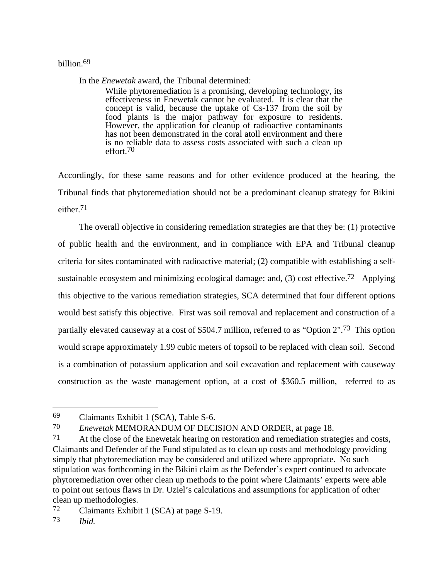# billion.69

In the *Enewetak* award, the Tribunal determined:

While phytoremediation is a promising, developing technology, its effectiveness in Enewetak cannot be evaluated. It is clear that the concept is valid, because the uptake of Cs-137 from the soil by food plants is the major pathway for exposure to residents. However, the application for cleanup of radioactive contaminants has not been demonstrated in the coral atoll environment and there is no reliable data to assess costs associated with such a clean up effort.70

Accordingly, for these same reasons and for other evidence produced at the hearing, the Tribunal finds that phytoremediation should not be a predominant cleanup strategy for Bikini either.71

The overall objective in considering remediation strategies are that they be: (1) protective of public health and the environment, and in compliance with EPA and Tribunal cleanup criteria for sites contaminated with radioactive material; (2) compatible with establishing a selfsustainable ecosystem and minimizing ecological damage; and,  $(3)$  cost effective.<sup>72</sup> Applying this objective to the various remediation strategies, SCA determined that four different options would best satisfy this objective. First was soil removal and replacement and construction of a partially elevated causeway at a cost of \$504.7 million, referred to as "Option 2".73 This option would scrape approximately 1.99 cubic meters of topsoil to be replaced with clean soil. Second is a combination of potassium application and soil excavation and replacement with causeway construction as the waste management option, at a cost of \$360.5 million, referred to as

70 *Enewetak* MEMORANDUM OF DECISION AND ORDER, at page 18.

<sup>69</sup> Claimants Exhibit 1 (SCA), Table S-6.

<sup>71</sup> At the close of the Enewetak hearing on restoration and remediation strategies and costs, Claimants and Defender of the Fund stipulated as to clean up costs and methodology providing simply that phytoremediation may be considered and utilized where appropriate. No such stipulation was forthcoming in the Bikini claim as the Defender's expert continued to advocate phytoremediation over other clean up methods to the point where Claimants' experts were able to point out serious flaws in Dr. Uziel's calculations and assumptions for application of other clean up methodologies.

<sup>72</sup> Claimants Exhibit 1 (SCA) at page S-19.

<sup>73</sup> *Ibid.*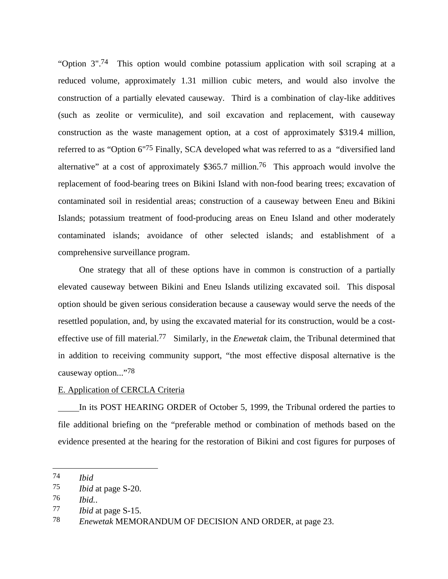"Option 3".74 This option would combine potassium application with soil scraping at a reduced volume, approximately 1.31 million cubic meters, and would also involve the construction of a partially elevated causeway. Third is a combination of clay-like additives (such as zeolite or vermiculite), and soil excavation and replacement, with causeway construction as the waste management option, at a cost of approximately \$319.4 million, referred to as "Option 6"<sup>75</sup> Finally, SCA developed what was referred to as a "diversified land alternative" at a cost of approximately \$365.7 million.<sup>76</sup> This approach would involve the replacement of food-bearing trees on Bikini Island with non-food bearing trees; excavation of contaminated soil in residential areas; construction of a causeway between Eneu and Bikini Islands; potassium treatment of food-producing areas on Eneu Island and other moderately contaminated islands; avoidance of other selected islands; and establishment of a comprehensive surveillance program.

One strategy that all of these options have in common is construction of a partially elevated causeway between Bikini and Eneu Islands utilizing excavated soil. This disposal option should be given serious consideration because a causeway would serve the needs of the resettled population, and, by using the excavated material for its construction, would be a costeffective use of fill material.77 Similarly, in the *Enewetak* claim, the Tribunal determined that in addition to receiving community support, "the most effective disposal alternative is the causeway option..."78

## E. Application of CERCLA Criteria

 In its POST HEARING ORDER of October 5, 1999, the Tribunal ordered the parties to file additional briefing on the "preferable method or combination of methods based on the evidence presented at the hearing for the restoration of Bikini and cost figures for purposes of

<sup>74</sup> *Ibid*

<sup>75</sup> *Ibid* at page S-20.

<sup>76</sup> *Ibid.*.

<sup>77</sup> *Ibid* at page S-15.

<sup>78</sup> *Enewetak* MEMORANDUM OF DECISION AND ORDER, at page 23.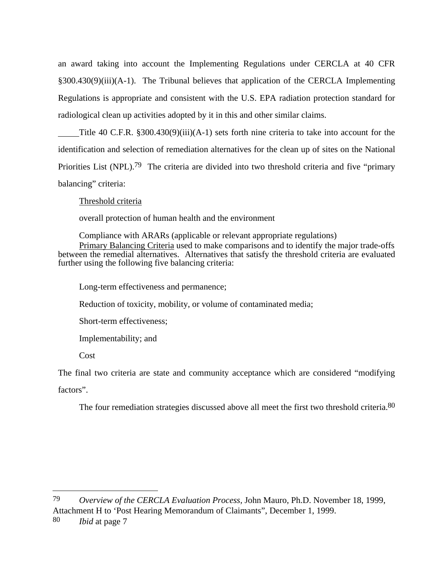an award taking into account the Implementing Regulations under CERCLA at 40 CFR §300.430(9)(iii)(A-1). The Tribunal believes that application of the CERCLA Implementing Regulations is appropriate and consistent with the U.S. EPA radiation protection standard for radiological clean up activities adopted by it in this and other similar claims.

 Title 40 C.F.R. §300.430(9)(iii)(A-1) sets forth nine criteria to take into account for the identification and selection of remediation alternatives for the clean up of sites on the National Priorities List (NPL).<sup>79</sup> The criteria are divided into two threshold criteria and five "primary" balancing" criteria:

Threshold criteria

overall protection of human health and the environment

Compliance with ARARs (applicable or relevant appropriate regulations) Primary Balancing Criteria used to make comparisons and to identify the major trade-offs between the remedial alternatives. Alternatives that satisfy the threshold criteria are evaluated further using the following five balancing criteria:

Long-term effectiveness and permanence;

Reduction of toxicity, mobility, or volume of contaminated media;

Short-term effectiveness;

Implementability; and

Cost

The final two criteria are state and community acceptance which are considered "modifying

factors".

l

The four remediation strategies discussed above all meet the first two threshold criteria.<sup>80</sup>

79 *Overview of the CERCLA Evaluation Process,* John Mauro, Ph.D. November 18, 1999, Attachment H to 'Post Hearing Memorandum of Claimants", December 1, 1999.

80 *Ibid* at page 7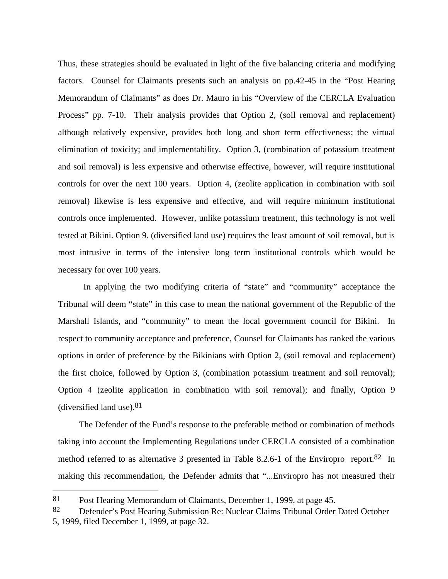Thus, these strategies should be evaluated in light of the five balancing criteria and modifying factors. Counsel for Claimants presents such an analysis on pp.42-45 in the "Post Hearing Memorandum of Claimants" as does Dr. Mauro in his "Overview of the CERCLA Evaluation Process" pp. 7-10. Their analysis provides that Option 2, (soil removal and replacement) although relatively expensive, provides both long and short term effectiveness; the virtual elimination of toxicity; and implementability. Option 3, (combination of potassium treatment and soil removal) is less expensive and otherwise effective, however, will require institutional controls for over the next 100 years. Option 4, (zeolite application in combination with soil removal) likewise is less expensive and effective, and will require minimum institutional controls once implemented. However, unlike potassium treatment, this technology is not well tested at Bikini. Option 9. (diversified land use) requires the least amount of soil removal, but is most intrusive in terms of the intensive long term institutional controls which would be necessary for over 100 years.

 In applying the two modifying criteria of "state" and "community" acceptance the Tribunal will deem "state" in this case to mean the national government of the Republic of the Marshall Islands, and "community" to mean the local government council for Bikini. In respect to community acceptance and preference, Counsel for Claimants has ranked the various options in order of preference by the Bikinians with Option 2, (soil removal and replacement) the first choice, followed by Option 3, (combination potassium treatment and soil removal); Option 4 (zeolite application in combination with soil removal); and finally, Option 9 (diversified land use). $81$ 

The Defender of the Fund's response to the preferable method or combination of methods taking into account the Implementing Regulations under CERCLA consisted of a combination method referred to as alternative 3 presented in Table 8.2.6-1 of the Enviropro report.<sup>82</sup> In making this recommendation, the Defender admits that "...Enviropro has not measured their

l

<sup>81</sup> Post Hearing Memorandum of Claimants, December 1, 1999, at page 45.

<sup>82</sup> Defender's Post Hearing Submission Re: Nuclear Claims Tribunal Order Dated October 5, 1999, filed December 1, 1999, at page 32.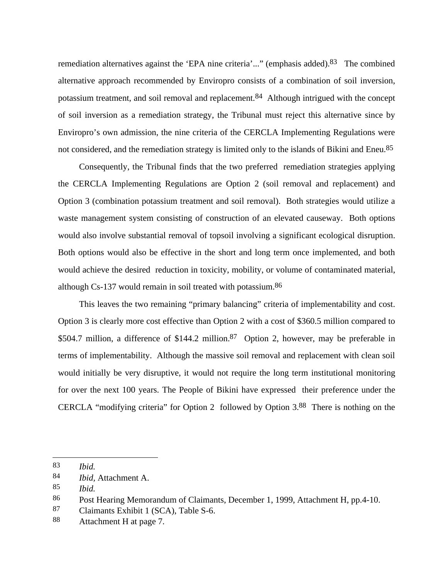remediation alternatives against the 'EPA nine criteria'..." (emphasis added).<sup>83</sup> The combined alternative approach recommended by Enviropro consists of a combination of soil inversion, potassium treatment, and soil removal and replacement.84 Although intrigued with the concept of soil inversion as a remediation strategy, the Tribunal must reject this alternative since by Enviropro's own admission, the nine criteria of the CERCLA Implementing Regulations were not considered, and the remediation strategy is limited only to the islands of Bikini and Eneu.<sup>85</sup>

Consequently, the Tribunal finds that the two preferred remediation strategies applying the CERCLA Implementing Regulations are Option 2 (soil removal and replacement) and Option 3 (combination potassium treatment and soil removal). Both strategies would utilize a waste management system consisting of construction of an elevated causeway. Both options would also involve substantial removal of topsoil involving a significant ecological disruption. Both options would also be effective in the short and long term once implemented, and both would achieve the desired reduction in toxicity, mobility, or volume of contaminated material, although Cs-137 would remain in soil treated with potassium.86

This leaves the two remaining "primary balancing" criteria of implementability and cost. Option 3 is clearly more cost effective than Option 2 with a cost of \$360.5 million compared to \$504.7 million, a difference of \$144.2 million.<sup>87</sup> Option 2, however, may be preferable in terms of implementability. Although the massive soil removal and replacement with clean soil would initially be very disruptive, it would not require the long term institutional monitoring for over the next 100 years. The People of Bikini have expressed their preference under the CERCLA "modifying criteria" for Option 2 followed by Option 3.88 There is nothing on the

l

<sup>83</sup> *Ibid.*

<sup>84</sup> *Ibid,* Attachment A.

<sup>85</sup> *Ibid.*

<sup>86</sup> Post Hearing Memorandum of Claimants, December 1, 1999, Attachment H, pp.4-10.

<sup>87</sup> Claimants Exhibit 1 (SCA), Table S-6.

<sup>88</sup> Attachment H at page 7.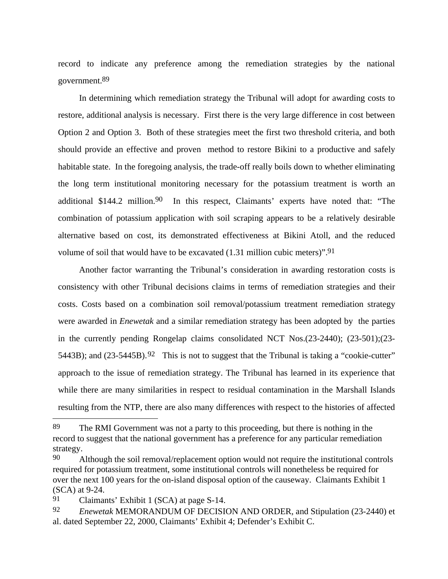record to indicate any preference among the remediation strategies by the national government.89

In determining which remediation strategy the Tribunal will adopt for awarding costs to restore, additional analysis is necessary. First there is the very large difference in cost between Option 2 and Option 3. Both of these strategies meet the first two threshold criteria, and both should provide an effective and proven method to restore Bikini to a productive and safely habitable state. In the foregoing analysis, the trade-off really boils down to whether eliminating the long term institutional monitoring necessary for the potassium treatment is worth an additional \$144.2 million.<sup>90</sup> In this respect, Claimants' experts have noted that: "The combination of potassium application with soil scraping appears to be a relatively desirable alternative based on cost, its demonstrated effectiveness at Bikini Atoll, and the reduced volume of soil that would have to be excavated  $(1.31$  million cubic meters)".<sup>91</sup>

Another factor warranting the Tribunal's consideration in awarding restoration costs is consistency with other Tribunal decisions claims in terms of remediation strategies and their costs. Costs based on a combination soil removal/potassium treatment remediation strategy were awarded in *Enewetak* and a similar remediation strategy has been adopted by the parties in the currently pending Rongelap claims consolidated NCT Nos.(23-2440); (23-501);(23- 5443B); and  $(23-5445B)$ .<sup>92</sup> This is not to suggest that the Tribunal is taking a "cookie-cutter" approach to the issue of remediation strategy. The Tribunal has learned in its experience that while there are many similarities in respect to residual contamination in the Marshall Islands resulting from the NTP, there are also many differences with respect to the histories of affected

<sup>89</sup> The RMI Government was not a party to this proceeding, but there is nothing in the record to suggest that the national government has a preference for any particular remediation strategy.

<sup>90</sup> Although the soil removal/replacement option would not require the institutional controls required for potassium treatment, some institutional controls will nonetheless be required for over the next 100 years for the on-island disposal option of the causeway. Claimants Exhibit 1 (SCA) at 9-24.

<sup>91</sup> Claimants' Exhibit 1 (SCA) at page S-14.

<sup>92</sup> *Enewetak* MEMORANDUM OF DECISION AND ORDER, and Stipulation (23-2440) et al. dated September 22, 2000, Claimants' Exhibit 4; Defender's Exhibit C.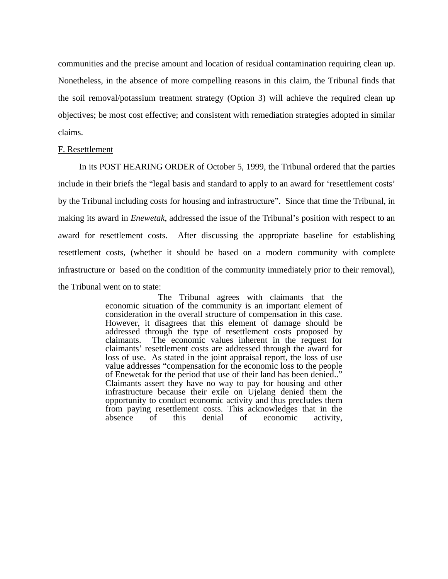communities and the precise amount and location of residual contamination requiring clean up. Nonetheless, in the absence of more compelling reasons in this claim, the Tribunal finds that the soil removal/potassium treatment strategy (Option 3) will achieve the required clean up objectives; be most cost effective; and consistent with remediation strategies adopted in similar claims.

#### F. Resettlement

In its POST HEARING ORDER of October 5, 1999, the Tribunal ordered that the parties include in their briefs the "legal basis and standard to apply to an award for 'resettlement costs' by the Tribunal including costs for housing and infrastructure". Since that time the Tribunal, in making its award in *Enewetak*, addressed the issue of the Tribunal's position with respect to an award for resettlement costs. After discussing the appropriate baseline for establishing resettlement costs, (whether it should be based on a modern community with complete infrastructure or based on the condition of the community immediately prior to their removal), the Tribunal went on to state:

> The Tribunal agrees with claimants that the economic situation of the community is an important element of consideration in the overall structure of compensation in this case. However, it disagrees that this element of damage should be addressed through the type of resettlement costs proposed by claimants. The economic values inherent in the request for claimants' resettlement costs are addressed through the award for loss of use. As stated in the joint appraisal report, the loss of use value addresses "compensation for the economic loss to the people of Enewetak for the period that use of their land has been denied.." Claimants assert they have no way to pay for housing and other infrastructure because their exile on Ujelang denied them the opportunity to conduct economic activity and thus precludes them from paying resettlement costs. This acknowledges that in the absence of this denial of economic activity, economic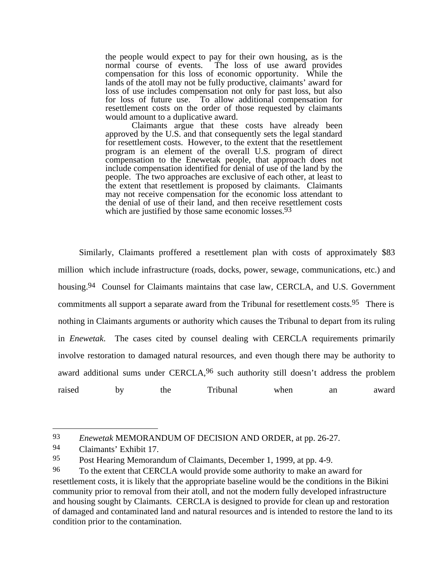the people would expect to pay for their own housing, as is the normal course of events. The loss of use award provides compensation for this loss of economic opportunity. While the lands of the atoll may not be fully productive, claimants' award for loss of use includes compensation not only for past loss, but also for loss of future use. To allow additional compensation for resettlement costs on the order of those requested by claimants would amount to a duplicative award.

Claimants argue that these costs have already been approved by the U.S. and that consequently sets the legal standard for resettlement costs. However, to the extent that the resettlement program is an element of the overall U.S. program of direct compensation to the Enewetak people, that approach does not include compensation identified for denial of use of the land by the people. The two approaches are exclusive of each other, at least to the extent that resettlement is proposed by claimants. Claimants may not receive compensation for the economic loss attendant to the denial of use of their land, and then receive resettlement costs which are justified by those same economic losses.<sup>93</sup>

Similarly, Claimants proffered a resettlement plan with costs of approximately \$83 million which include infrastructure (roads, docks, power, sewage, communications, etc.) and housing.<sup>94</sup> Counsel for Claimants maintains that case law, CERCLA, and U.S. Government commitments all support a separate award from the Tribunal for resettlement costs.<sup>95</sup> There is nothing in Claimants arguments or authority which causes the Tribunal to depart from its ruling in *Enewetak*. The cases cited by counsel dealing with CERCLA requirements primarily involve restoration to damaged natural resources, and even though there may be authority to award additional sums under CERCLA,  $96$  such authority still doesn't address the problem raised by the Tribunal when an award

<sup>93</sup> *Enewetak* MEMORANDUM OF DECISION AND ORDER, at pp. 26-27.

<sup>94</sup> Claimants' Exhibit 17.

<sup>95</sup> Post Hearing Memorandum of Claimants, December 1, 1999, at pp. 4-9.

<sup>96</sup> To the extent that CERCLA would provide some authority to make an award for resettlement costs, it is likely that the appropriate baseline would be the conditions in the Bikini community prior to removal from their atoll, and not the modern fully developed infrastructure and housing sought by Claimants. CERCLA is designed to provide for clean up and restoration of damaged and contaminated land and natural resources and is intended to restore the land to its condition prior to the contamination.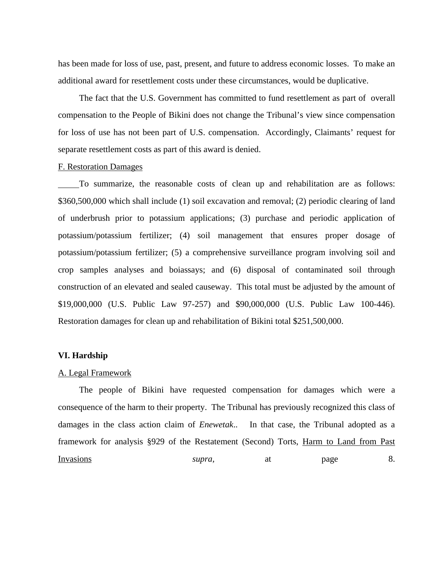has been made for loss of use, past, present, and future to address economic losses. To make an additional award for resettlement costs under these circumstances, would be duplicative.

The fact that the U.S. Government has committed to fund resettlement as part of overall compensation to the People of Bikini does not change the Tribunal's view since compensation for loss of use has not been part of U.S. compensation. Accordingly, Claimants' request for separate resettlement costs as part of this award is denied.

## F. Restoration Damages

 To summarize, the reasonable costs of clean up and rehabilitation are as follows: \$360,500,000 which shall include (1) soil excavation and removal; (2) periodic clearing of land of underbrush prior to potassium applications; (3) purchase and periodic application of potassium/potassium fertilizer; (4) soil management that ensures proper dosage of potassium/potassium fertilizer; (5) a comprehensive surveillance program involving soil and crop samples analyses and boiassays; and (6) disposal of contaminated soil through construction of an elevated and sealed causeway. This total must be adjusted by the amount of \$19,000,000 (U.S. Public Law 97-257) and \$90,000,000 (U.S. Public Law 100-446). Restoration damages for clean up and rehabilitation of Bikini total \$251,500,000.

# **VI. Hardship**

#### A. Legal Framework

The people of Bikini have requested compensation for damages which were a consequence of the harm to their property. The Tribunal has previously recognized this class of damages in the class action claim of *Enewetak*.. In that case, the Tribunal adopted as a framework for analysis §929 of the Restatement (Second) Torts, Harm to Land from Past Invasions *supra*, at page 8.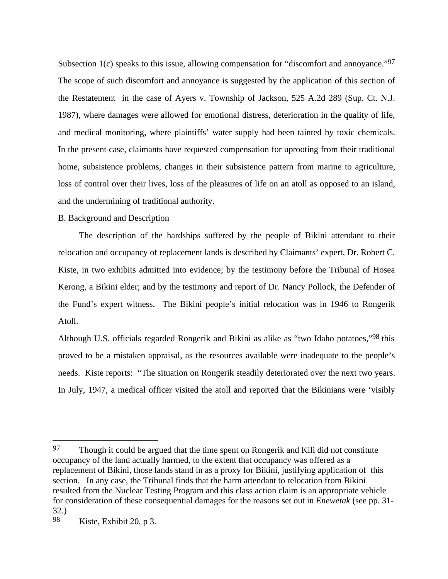Subsection 1(c) speaks to this issue, allowing compensation for "discomfort and annoyance."<sup>97</sup> The scope of such discomfort and annoyance is suggested by the application of this section of the Restatement in the case of Ayers v. Township of Jackson, 525 A.2d 289 (Sup. Ct. N.J. 1987), where damages were allowed for emotional distress, deterioration in the quality of life, and medical monitoring, where plaintiffs' water supply had been tainted by toxic chemicals. In the present case, claimants have requested compensation for uprooting from their traditional home, subsistence problems, changes in their subsistence pattern from marine to agriculture, loss of control over their lives, loss of the pleasures of life on an atoll as opposed to an island, and the undermining of traditional authority.

# B. Background and Description

The description of the hardships suffered by the people of Bikini attendant to their relocation and occupancy of replacement lands is described by Claimants' expert, Dr. Robert C. Kiste, in two exhibits admitted into evidence; by the testimony before the Tribunal of Hosea Kerong, a Bikini elder; and by the testimony and report of Dr. Nancy Pollock, the Defender of the Fund's expert witness. The Bikini people's initial relocation was in 1946 to Rongerik Atoll.

Although U.S. officials regarded Rongerik and Bikini as alike as "two Idaho potatoes,"<sup>98</sup> this proved to be a mistaken appraisal, as the resources available were inadequate to the people's needs. Kiste reports: "The situation on Rongerik steadily deteriorated over the next two years. In July, 1947, a medical officer visited the atoll and reported that the Bikinians were 'visibly

l

<sup>97</sup> Though it could be argued that the time spent on Rongerik and Kili did not constitute occupancy of the land actually harmed, to the extent that occupancy was offered as a replacement of Bikini, those lands stand in as a proxy for Bikini, justifying application of this section. In any case, the Tribunal finds that the harm attendant to relocation from Bikini resulted from the Nuclear Testing Program and this class action claim is an appropriate vehicle for consideration of these consequential damages for the reasons set out in *Enewetak* (see pp. 31- 32.)

<sup>98</sup> Kiste, Exhibit 20, p 3.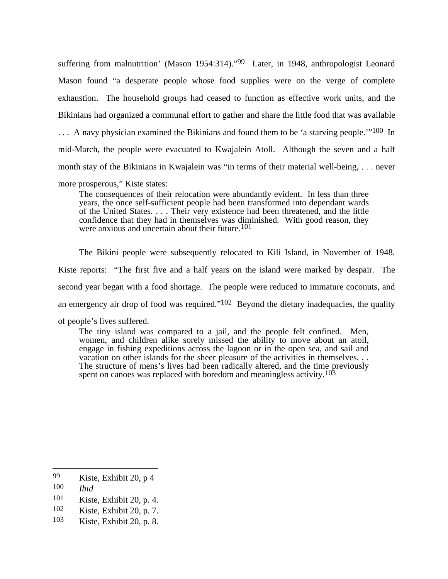suffering from malnutrition' (Mason 1954:314)."99 Later, in 1948, anthropologist Leonard Mason found "a desperate people whose food supplies were on the verge of complete exhaustion. The household groups had ceased to function as effective work units, and the Bikinians had organized a communal effort to gather and share the little food that was available ... A navy physician examined the Bikinians and found them to be 'a starving people."<sup>100</sup> In mid-March, the people were evacuated to Kwajalein Atoll. Although the seven and a half month stay of the Bikinians in Kwajalein was "in terms of their material well-being, . . . never

more prosperous," Kiste states:

The consequences of their relocation were abundantly evident. In less than three years, the once self-sufficient people had been transformed into dependant wards of the United States. . . . Their very existence had been threatened, and the little confidence that they had in themselves was diminished. With good reason, they were anxious and uncertain about their future.<sup>101</sup>

The Bikini people were subsequently relocated to Kili Island, in November of 1948. Kiste reports: "The first five and a half years on the island were marked by despair. The second year began with a food shortage. The people were reduced to immature coconuts, and an emergency air drop of food was required." $102$  Beyond the dietary inadequacies, the quality of people's lives suffered.

The tiny island was compared to a jail, and the people felt confined. Men, women, and children alike sorely missed the ability to move about an atoll, engage in fishing expeditions across the lagoon or in the open sea, and sail and vacation on other islands for the sheer pleasure of the activities in themselves. . . The structure of mens's lives had been radically altered, and the time previously spent on canoes was replaced with boredom and meaningless activity.<sup>103</sup>

100 *Ibid*

<sup>99</sup> Kiste, Exhibit 20, p 4

<sup>101</sup> Kiste, Exhibit 20, p. 4.

<sup>102</sup> Kiste, Exhibit 20, p. 7.

<sup>103</sup> Kiste, Exhibit 20, p. 8.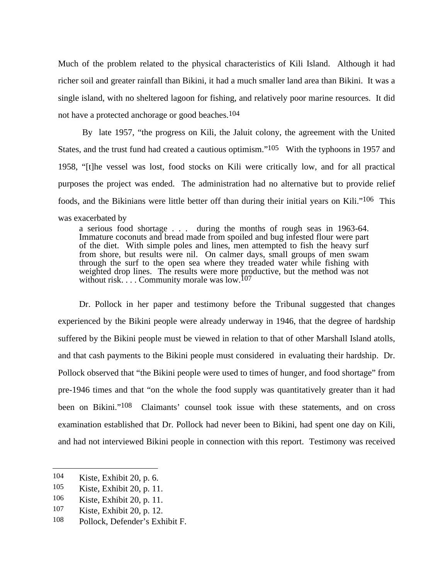Much of the problem related to the physical characteristics of Kili Island. Although it had richer soil and greater rainfall than Bikini, it had a much smaller land area than Bikini. It was a single island, with no sheltered lagoon for fishing, and relatively poor marine resources. It did not have a protected anchorage or good beaches.<sup>104</sup>

 By late 1957, "the progress on Kili, the Jaluit colony, the agreement with the United States, and the trust fund had created a cautious optimism."<sup>105</sup> With the typhoons in 1957 and 1958, "[t]he vessel was lost, food stocks on Kili were critically low, and for all practical purposes the project was ended. The administration had no alternative but to provide relief foods, and the Bikinians were little better off than during their initial years on Kili."106 This was exacerbated by

a serious food shortage . . . during the months of rough seas in 1963-64. Immature coconuts and bread made from spoiled and bug infested flour were part of the diet. With simple poles and lines, men attempted to fish the heavy surf from shore, but results were nil. On calmer days, small groups of men swam through the surf to the open sea where they treaded water while fishing with weighted drop lines. The results were more productive, but the method was not without risk.  $\ldots$  Community morale was low.<sup>107</sup>

Dr. Pollock in her paper and testimony before the Tribunal suggested that changes experienced by the Bikini people were already underway in 1946, that the degree of hardship suffered by the Bikini people must be viewed in relation to that of other Marshall Island atolls, and that cash payments to the Bikini people must considered in evaluating their hardship. Dr. Pollock observed that "the Bikini people were used to times of hunger, and food shortage" from pre-1946 times and that "on the whole the food supply was quantitatively greater than it had been on Bikini."108 Claimants' counsel took issue with these statements, and on cross examination established that Dr. Pollock had never been to Bikini, had spent one day on Kili, and had not interviewed Bikini people in connection with this report. Testimony was received

<sup>104</sup> Kiste, Exhibit 20, p. 6.

<sup>105</sup> Kiste, Exhibit 20, p. 11.

<sup>106</sup> Kiste, Exhibit 20, p. 11.

<sup>107</sup> Kiste, Exhibit 20, p. 12.

<sup>108</sup> Pollock, Defender's Exhibit F.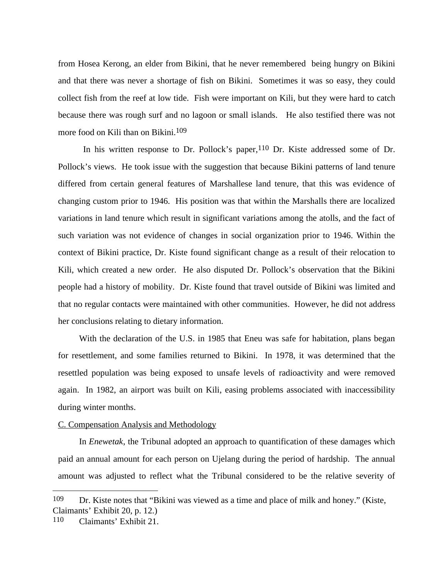from Hosea Kerong, an elder from Bikini, that he never remembered being hungry on Bikini and that there was never a shortage of fish on Bikini. Sometimes it was so easy, they could collect fish from the reef at low tide. Fish were important on Kili, but they were hard to catch because there was rough surf and no lagoon or small islands. He also testified there was not more food on Kili than on Bikini.<sup>109</sup>

In his written response to Dr. Pollock's paper,<sup>110</sup> Dr. Kiste addressed some of Dr. Pollock's views. He took issue with the suggestion that because Bikini patterns of land tenure differed from certain general features of Marshallese land tenure, that this was evidence of changing custom prior to 1946. His position was that within the Marshalls there are localized variations in land tenure which result in significant variations among the atolls, and the fact of such variation was not evidence of changes in social organization prior to 1946. Within the context of Bikini practice, Dr. Kiste found significant change as a result of their relocation to Kili, which created a new order. He also disputed Dr. Pollock's observation that the Bikini people had a history of mobility. Dr. Kiste found that travel outside of Bikini was limited and that no regular contacts were maintained with other communities. However, he did not address her conclusions relating to dietary information.

With the declaration of the U.S. in 1985 that Eneu was safe for habitation, plans began for resettlement, and some families returned to Bikini. In 1978, it was determined that the resettled population was being exposed to unsafe levels of radioactivity and were removed again. In 1982, an airport was built on Kili, easing problems associated with inaccessibility during winter months.

#### C. Compensation Analysis and Methodology

In *Enewetak*, the Tribunal adopted an approach to quantification of these damages which paid an annual amount for each person on Ujelang during the period of hardship. The annual amount was adjusted to reflect what the Tribunal considered to be the relative severity of

l

<sup>109</sup> Dr. Kiste notes that "Bikini was viewed as a time and place of milk and honey." (Kiste, Claimants' Exhibit 20, p. 12.)

<sup>110</sup> Claimants' Exhibit 21.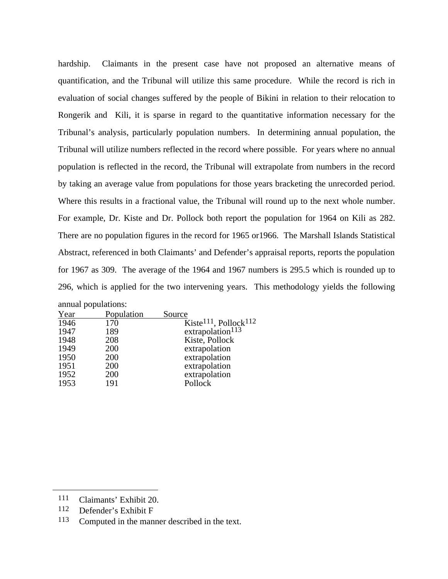hardship. Claimants in the present case have not proposed an alternative means of quantification, and the Tribunal will utilize this same procedure. While the record is rich in evaluation of social changes suffered by the people of Bikini in relation to their relocation to Rongerik and Kili, it is sparse in regard to the quantitative information necessary for the Tribunal's analysis, particularly population numbers. In determining annual population, the Tribunal will utilize numbers reflected in the record where possible. For years where no annual population is reflected in the record, the Tribunal will extrapolate from numbers in the record by taking an average value from populations for those years bracketing the unrecorded period. Where this results in a fractional value, the Tribunal will round up to the next whole number. For example, Dr. Kiste and Dr. Pollock both report the population for 1964 on Kili as 282. There are no population figures in the record for 1965 or1966. The Marshall Islands Statistical Abstract, referenced in both Claimants' and Defender's appraisal reports, reports the population for 1967 as 309. The average of the 1964 and 1967 numbers is 295.5 which is rounded up to 296, which is applied for the two intervening years. This methodology yields the following annual populations:

| $\mu$ . |            |                                               |
|---------|------------|-----------------------------------------------|
| Year    | Population | Source                                        |
| 1946    | 170        | Kiste <sup>111</sup> , Pollock <sup>112</sup> |
| 1947    | 189        | extrapolation <sup>113</sup>                  |
| 1948    | 208        | Kiste, Pollock                                |
| 1949    | 200        | extrapolation                                 |
| 1950    | 200        | extrapolation                                 |
| 1951    | 200        | extrapolation                                 |
| 1952    | 200        | extrapolation                                 |
| 1953    | 191        | Pollock                                       |
|         |            |                                               |

<sup>111</sup> Claimants' Exhibit 20.

<sup>112</sup> Defender's Exhibit F

<sup>113</sup> Computed in the manner described in the text.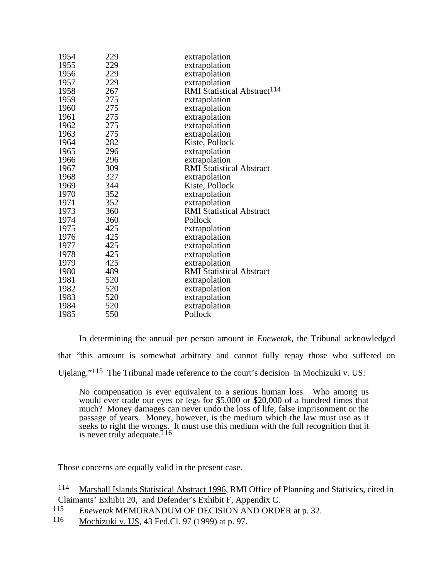| 1954 | 229 | extrapolation                           |
|------|-----|-----------------------------------------|
| 1955 | 229 | extrapolation                           |
| 1956 | 229 | extrapolation                           |
| 1957 | 229 | extrapolation                           |
| 1958 | 267 | RMI Statistical Abstract <sup>114</sup> |
| 1959 | 275 | extrapolation                           |
| 1960 | 275 | extrapolation                           |
| 1961 | 275 | extrapolation                           |
| 1962 | 275 | extrapolation                           |
| 1963 | 275 | extrapolation                           |
| 1964 | 282 | Kiste, Pollock                          |
| 1965 | 296 | extrapolation                           |
| 1966 | 296 | extrapolation                           |
| 1967 | 309 | <b>RMI Statistical Abstract</b>         |
| 1968 | 327 | extrapolation                           |
| 1969 | 344 | Kiste, Pollock                          |
| 1970 | 352 | extrapolation                           |
| 1971 | 352 | extrapolation                           |
| 1973 | 360 | <b>RMI Statistical Abstract</b>         |
| 1974 | 360 | Pollock                                 |
| 1975 | 425 | extrapolation                           |
| 1976 | 425 | extrapolation                           |
| 1977 | 425 | extrapolation                           |
| 1978 | 425 | extrapolation                           |
| 1979 | 425 | extrapolation                           |
| 1980 | 489 | <b>RMI Statistical Abstract</b>         |
| 1981 | 520 | extrapolation                           |
| 1982 | 520 | extrapolation                           |
| 1983 | 520 | extrapolation                           |
| 1984 | 520 | extrapolation                           |
| 1985 | 550 | Pollock                                 |
|      |     |                                         |

In determining the annual per person amount in *Enewetak*, the Tribunal acknowledged that "this amount is somewhat arbitrary and cannot fully repay those who suffered on Ujelang."115 The Tribunal made reference to the court's decision in Mochizuki v. US:

No compensation is ever equivalent to a serious human loss. Who among us would ever trade our eyes or legs for \$5,000 or \$20,000 of a hundred times that much? Money damages can never undo the loss of life, false imprisonment or the passage of years. Money, however, is the medium which the law must use as it seeks to right the wrongs. It must use this medium with the full recognition that it is never truly adequate.<sup>116</sup>

Those concerns are equally valid in the present case.

 Marshall Islands Statistical Abstract 1996, RMI Office of Planning and Statistics, cited in Claimants' Exhibit 20, and Defender's Exhibit F, Appendix C.

*Enewetak* MEMORANDUM OF DECISION AND ORDER at p. 32.

Mochizuki v. US, 43 Fed.Cl. 97 (1999) at p. 97.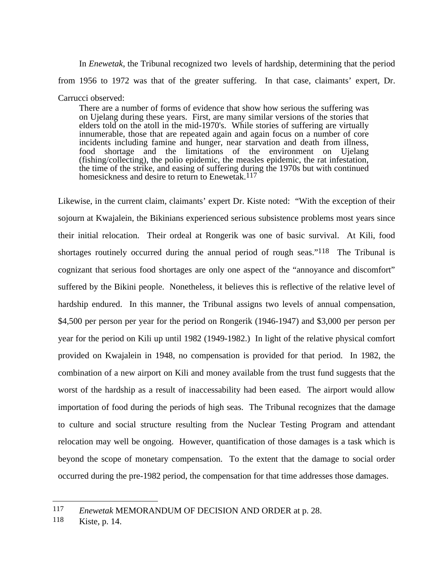In *Enewetak*, the Tribunal recognized two levels of hardship, determining that the period from 1956 to 1972 was that of the greater suffering. In that case, claimants' expert, Dr. Carrucci observed:

There are a number of forms of evidence that show how serious the suffering was on Ujelang during these years. First, are many similar versions of the stories that elders told on the atoll in the mid-1970's. While stories of suffering are virtually innumerable, those that are repeated again and again focus on a number of core incidents including famine and hunger, near starvation and death from illness, food shortage and the limitations of the environment on Ujelang (fishing/collecting), the polio epidemic, the measles epidemic, the rat infestation, the time of the strike, and easing of suffering during the 1970s but with continued homesickness and desire to return to Enewetak.<sup>117</sup>

Likewise, in the current claim, claimants' expert Dr. Kiste noted: "With the exception of their sojourn at Kwajalein, the Bikinians experienced serious subsistence problems most years since their initial relocation. Their ordeal at Rongerik was one of basic survival. At Kili, food shortages routinely occurred during the annual period of rough seas."<sup>118</sup> The Tribunal is cognizant that serious food shortages are only one aspect of the "annoyance and discomfort" suffered by the Bikini people. Nonetheless, it believes this is reflective of the relative level of hardship endured. In this manner, the Tribunal assigns two levels of annual compensation, \$4,500 per person per year for the period on Rongerik (1946-1947) and \$3,000 per person per year for the period on Kili up until 1982 (1949-1982.) In light of the relative physical comfort provided on Kwajalein in 1948, no compensation is provided for that period. In 1982, the combination of a new airport on Kili and money available from the trust fund suggests that the worst of the hardship as a result of inaccessability had been eased. The airport would allow importation of food during the periods of high seas. The Tribunal recognizes that the damage to culture and social structure resulting from the Nuclear Testing Program and attendant relocation may well be ongoing. However, quantification of those damages is a task which is beyond the scope of monetary compensation. To the extent that the damage to social order occurred during the pre-1982 period, the compensation for that time addresses those damages.

<sup>117</sup> *Enewetak* MEMORANDUM OF DECISION AND ORDER at p. 28.

<sup>118</sup> Kiste, p. 14.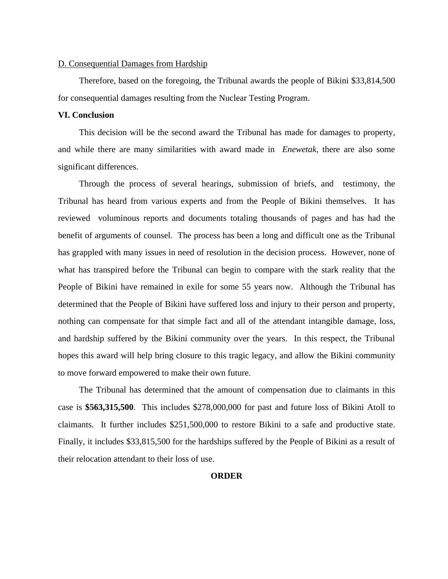#### D. Consequential Damages from Hardship

Therefore, based on the foregoing, the Tribunal awards the people of Bikini \$33,814,500 for consequential damages resulting from the Nuclear Testing Program.

## **VI. Conclusion**

This decision will be the second award the Tribunal has made for damages to property, and while there are many similarities with award made in *Enewetak*, there are also some significant differences.

Through the process of several hearings, submission of briefs, and testimony, the Tribunal has heard from various experts and from the People of Bikini themselves. It has reviewed voluminous reports and documents totaling thousands of pages and has had the benefit of arguments of counsel. The process has been a long and difficult one as the Tribunal has grappled with many issues in need of resolution in the decision process. However, none of what has transpired before the Tribunal can begin to compare with the stark reality that the People of Bikini have remained in exile for some 55 years now. Although the Tribunal has determined that the People of Bikini have suffered loss and injury to their person and property, nothing can compensate for that simple fact and all of the attendant intangible damage, loss, and hardship suffered by the Bikini community over the years. In this respect, the Tribunal hopes this award will help bring closure to this tragic legacy, and allow the Bikini community to move forward empowered to make their own future.

The Tribunal has determined that the amount of compensation due to claimants in this case is **\$563,315,500**. This includes \$278,000,000 for past and future loss of Bikini Atoll to claimants. It further includes \$251,500,000 to restore Bikini to a safe and productive state. Finally, it includes \$33,815,500 for the hardships suffered by the People of Bikini as a result of their relocation attendant to their loss of use.

#### **ORDER**